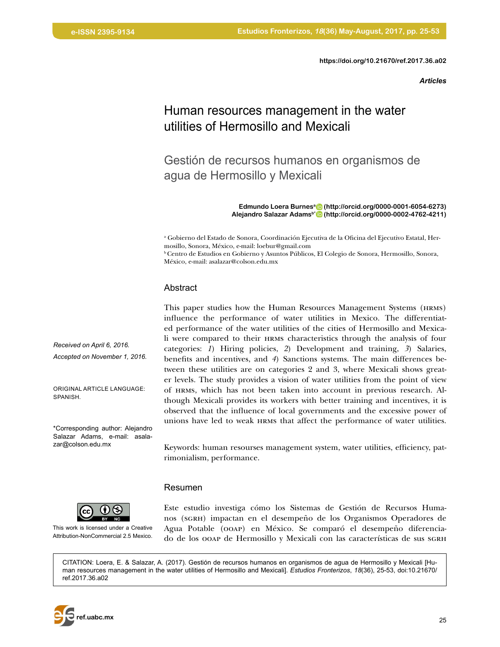**<https://doi.org/10.21670/ref.2017.36.a02>**

*Articles*

# Human resources management in the water utilities of Hermosillo and Mexicali

Gestión de recursos humanos en organismos de agua de Hermosillo y Mexicali

> **Edmundo Loera Burnesa [\(http://orcid.org/0000-0001-6054-6273\)](http://orcid.org/0000-0001-6054-6273) Alejandro Salazar Adamsb\* [\(http://orcid.org/0000-0002-4762-4211\)](http://orcid.org/0000-0002-4762-4211)**

a Gobierno del Estado de Sonora, Coordinación Ejecutiva de la Oficina del Ejecutivo Estatal, Hermosillo, Sonora, México, e-mail: loebur@gmail.com

b Centro de Estudios en Gobierno y Asuntos Públicos, El Colegio de Sonora, Hermosillo, Sonora, México, e-mail: asalazar@colson.edu.mx

#### Abstract

This paper studies how the Human Resources Management Systems (hrms) influence the performance of water utilities in Mexico. The differentiated performance of the water utilities of the cities of Hermosillo and Mexicali were compared to their hrms characteristics through the analysis of four categories: *1*) Hiring policies, *2*) Development and training, *3*) Salaries, benefits and incentives, and *4*) Sanctions systems. The main differences between these utilities are on categories 2 and 3, where Mexicali shows greater levels. The study provides a vision of water utilities from the point of view of hrms, which has not been taken into account in previous research. Although Mexicali provides its workers with better training and incentives, it is observed that the influence of local governments and the excessive power of unions have led to weak hrms that affect the performance of water utilities.

Keywords: human resourses management system, water utilities, efficiency, patrimonialism, performance.

#### Resumen

This work is licensed under a Creative Attribution-NonCommercial 2.5 Mexico.

Este estudio investiga cómo los Sistemas de Gestión de Recursos Humanos (sgrh) impactan en el desempeño de los Organismos Operadores de Agua Potable (ooap) en México. Se comparó el desempeño diferenciado de los ooap de Hermosillo y Mexicali con las características de sus sGRH

CITATION: Loera, E. & Salazar, A. (2017). Gestión de recursos humanos en organismos de agua de Hermosillo y Mexicali [Human resources management in the water utilities of Hermosillo and Mexicali]. *Estudios Fronterizos*, *18*(36), 25-53, doi:[10.21670/](http://doi.org/10.21670/ref.2017.36.a02) [ref.2017.36.a02](http://doi.org/10.21670/ref.2017.36.a02)

*Received on April 6, 2016. Accepted on November 1, 2016.*

ORIGINAL ARTICLE LANGUAGE: SPANISH.

\*Corresponding author: Alejandro Salazar Adams, e-mail: asalazar@colson.edu.mx

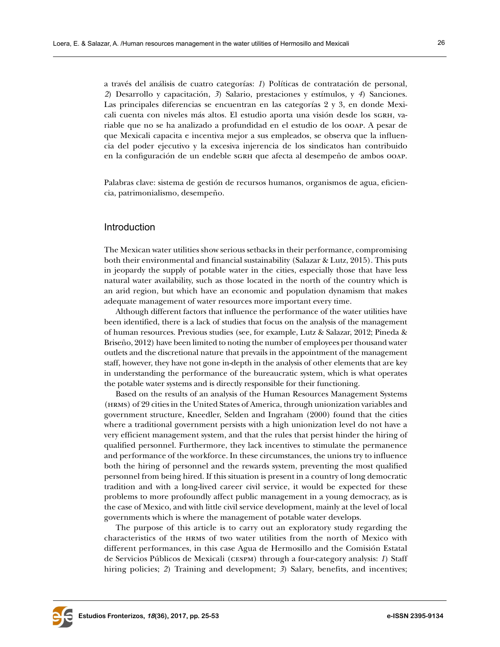a través del análisis de cuatro categorías: *1*) Políticas de contratación de personal, *2*) Desarrollo y capacitación, *3*) Salario, prestaciones y estímulos, y *4*) Sanciones. Las principales diferencias se encuentran en las categorías 2 y 3, en donde Mexicali cuenta con niveles más altos. El estudio aporta una visión desde los sgrh, variable que no se ha analizado a profundidad en el estudio de los ooap. A pesar de que Mexicali capacita e incentiva mejor a sus empleados, se observa que la influencia del poder ejecutivo y la excesiva injerencia de los sindicatos han contribuido en la configuración de un endeble sGRH que afecta al desempeño de ambos ooap.

Palabras clave: sistema de gestión de recursos humanos, organismos de agua, eficiencia, patrimonialismo, desempeño.

#### **Introduction**

The Mexican water utilities show serious setbacks in their performance, compromising both their environmental and financial sustainability (Salazar & Lutz, 2015). This puts in jeopardy the supply of potable water in the cities, especially those that have less natural water availability, such as those located in the north of the country which is an arid region, but which have an economic and population dynamism that makes adequate management of water resources more important every time.

Although different factors that influence the performance of the water utilities have been identified, there is a lack of studies that focus on the analysis of the management of human resources. Previous studies (see, for example, Lutz & Salazar, 2012; Pineda & Briseño, 2012) have been limited to noting the number of employees per thousand water outlets and the discretional nature that prevails in the appointment of the management staff, however, they have not gone in-depth in the analysis of other elements that are key in understanding the performance of the bureaucratic system, which is what operates the potable water systems and is directly responsible for their functioning.

Based on the results of an analysis of the Human Resources Management Systems (hrms) of 29 cities in the United States of America, through unionization variables and government structure, Kneedler, Selden and Ingraham (2000) found that the cities where a traditional government persists with a high unionization level do not have a very efficient management system, and that the rules that persist hinder the hiring of qualified personnel. Furthermore, they lack incentives to stimulate the permanence and performance of the workforce. In these circumstances, the unions try to influence both the hiring of personnel and the rewards system, preventing the most qualified personnel from being hired. If this situation is present in a country of long democratic tradition and with a long-lived career civil service, it would be expected for these problems to more profoundly affect public management in a young democracy, as is the case of Mexico, and with little civil service development, mainly at the level of local governments which is where the management of potable water develops.

The purpose of this article is to carry out an exploratory study regarding the characteristics of the hrms of two water utilities from the north of Mexico with different performances, in this case Agua de Hermosillo and the Comisión Estatal de Servicios Públicos de Mexicali (cespm) through a four-category analysis: *1*) Staff hiring policies; 2) Training and development; 3) Salary, benefits, and incentives;

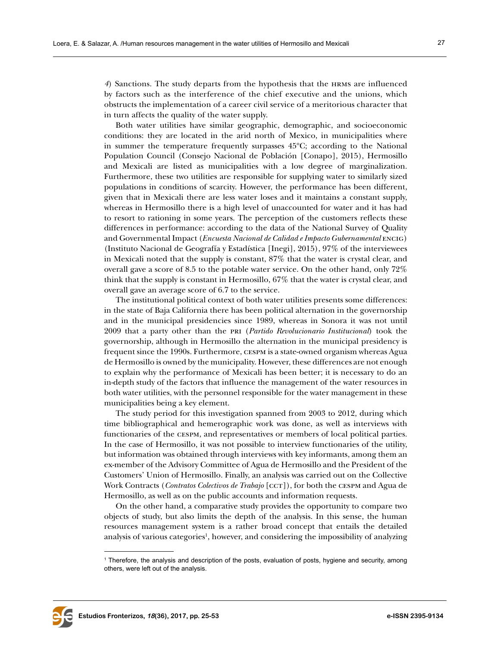*4*) Sanctions. The study departs from the hypothesis that the hrms are influenced by factors such as the interference of the chief executive and the unions, which obstructs the implementation of a career civil service of a meritorious character that in turn affects the quality of the water supply.

Both water utilities have similar geographic, demographic, and socioeconomic conditions: they are located in the arid north of Mexico, in municipalities where in summer the temperature frequently surpasses 45ºC; according to the National Population Council (Consejo Nacional de Población [Conapo], 2015), Hermosillo and Mexicali are listed as municipalities with a low degree of marginalization. Furthermore, these two utilities are responsible for supplying water to similarly sized populations in conditions of scarcity. However, the performance has been different, given that in Mexicali there are less water loses and it maintains a constant supply, whereas in Hermosillo there is a high level of unaccounted for water and it has had to resort to rationing in some years. The perception of the customers reflects these differences in performance: according to the data of the National Survey of Quality and Governmental Impact (*Encuesta Nacional de Calidad e Impacto Gubernamental* encig) (Instituto Nacional de Geografía y Estadística [Inegi], 2015), 97% of the interviewees in Mexicali noted that the supply is constant, 87% that the water is crystal clear, and overall gave a score of 8.5 to the potable water service. On the other hand, only 72% think that the supply is constant in Hermosillo, 67% that the water is crystal clear, and overall gave an average score of 6.7 to the service.

The institutional political context of both water utilities presents some differences: in the state of Baja California there has been political alternation in the governorship and in the municipal presidencies since 1989, whereas in Sonora it was not until 2009 that a party other than the pri (*Partido Revolucionario Institucional*) took the governorship, although in Hermosillo the alternation in the municipal presidency is frequent since the 1990s. Furthermore, cespm is a state-owned organism whereas Agua de Hermosillo is owned by the municipality. However, these differences are not enough to explain why the performance of Mexicali has been better; it is necessary to do an in-depth study of the factors that influence the management of the water resources in both water utilities, with the personnel responsible for the water management in these municipalities being a key element.

The study period for this investigation spanned from 2003 to 2012, during which time bibliographical and hemerographic work was done, as well as interviews with functionaries of the cespm, and representatives or members of local political parties. In the case of Hermosillo, it was not possible to interview functionaries of the utility, but information was obtained through interviews with key informants, among them an ex-member of the Advisory Committee of Agua de Hermosillo and the President of the Customers' Union of Hermosillo. Finally, an analysis was carried out on the Collective Work Contracts (*Contratos Colectivos de Trabajo* [cct]), for both the cespm and Agua de Hermosillo, as well as on the public accounts and information requests.

On the other hand, a comparative study provides the opportunity to compare two objects of study, but also limits the depth of the analysis. In this sense, the human resources management system is a rather broad concept that entails the detailed analysis of various categories<sup>1</sup>, however, and considering the impossibility of analyzing



<sup>1</sup> Therefore, the analysis and description of the posts, evaluation of posts, hygiene and security, among others, were left out of the analysis.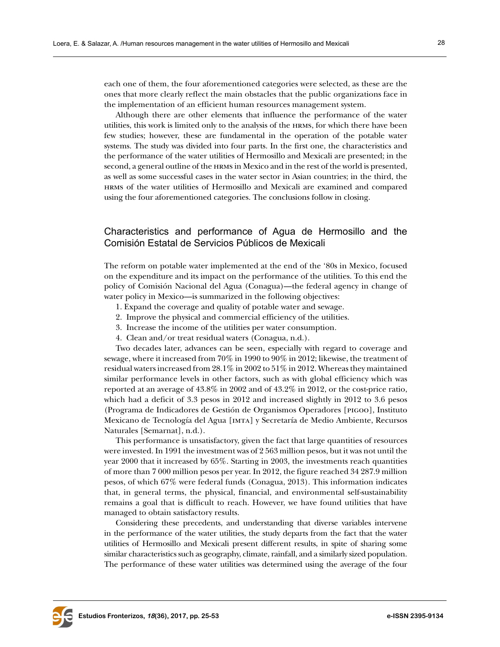each one of them, the four aforementioned categories were selected, as these are the ones that more clearly reflect the main obstacles that the public organizations face in the implementation of an efficient human resources management system.

Although there are other elements that influence the performance of the water utilities, this work is limited only to the analysis of the hrms, for which there have been few studies; however, these are fundamental in the operation of the potable water systems. The study was divided into four parts. In the first one, the characteristics and the performance of the water utilities of Hermosillo and Mexicali are presented; in the second, a general outline of the hrms in Mexico and in the rest of the world is presented, as well as some successful cases in the water sector in Asian countries; in the third, the hrms of the water utilities of Hermosillo and Mexicali are examined and compared using the four aforementioned categories. The conclusions follow in closing.

# Characteristics and performance of Agua de Hermosillo and the Comisión Estatal de Servicios Públicos de Mexicali

The reform on potable water implemented at the end of the '80s in Mexico, focused on the expenditure and its impact on the performance of the utilities. To this end the policy of Comisión Nacional del Agua (Conagua)—the federal agency in change of water policy in Mexico—is summarized in the following objectives:

- 1. Expand the coverage and quality of potable water and sewage.
- 2. Improve the physical and commercial efficiency of the utilities.
- 3. Increase the income of the utilities per water consumption.
- 4. Clean and/or treat residual waters (Conagua, n.d.).

Two decades later, advances can be seen, especially with regard to coverage and sewage, where it increased from 70% in 1990 to 90% in 2012; likewise, the treatment of residual waters increased from 28.1% in 2002 to 51% in 2012. Whereas they maintained similar performance levels in other factors, such as with global efficiency which was reported at an average of 43.8% in 2002 and of 43.2% in 2012, or the cost-price ratio, which had a deficit of 3.3 pesos in 2012 and increased slightly in 2012 to 3.6 pesos (Programa de Indicadores de Gestión de Organismos Operadores [pigoo], Instituto Mexicano de Tecnología del Agua [imta] y Secretaría de Medio Ambiente, Recursos Naturales [Semarnat], n.d.).

This performance is unsatisfactory, given the fact that large quantities of resources were invested. In 1991 the investment was of 2 563 million pesos, but it was not until the year 2000 that it increased by 65%. Starting in 2003, the investments reach quantities of more than 7 000 million pesos per year. In 2012, the figure reached 34 287.9 million pesos, of which 67% were federal funds (Conagua, 2013). This information indicates that, in general terms, the physical, financial, and environmental self-sustainability remains a goal that is difficult to reach. However, we have found utilities that have managed to obtain satisfactory results.

Considering these precedents, and understanding that diverse variables intervene in the performance of the water utilities, the study departs from the fact that the water utilities of Hermosillo and Mexicali present different results, in spite of sharing some similar characteristics such as geography, climate, rainfall, and a similarly sized population. The performance of these water utilities was determined using the average of the four

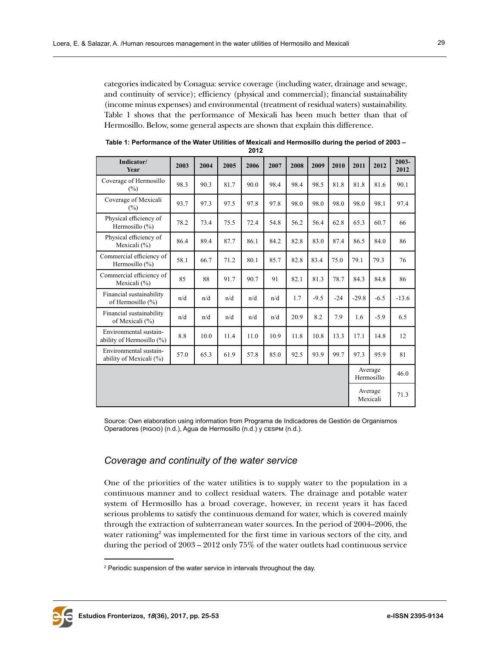categories indicated by Conagua: service coverage (including water, drainage and sewage, and continuity of service); efficiency (physical and commercial); financial sustainability (income minus expenses) and environmental (treatment of residual waters) sustainability. Table 1 shows that the performance of Mexicali has been much better than that of Hermosillo. Below, some general aspects are shown that explain this difference.

| Indicator/<br><b>Year</b>                           | 2003 | 2004 | 2005 | 2006 | 2007 | 2008 | 2009   | 2010  | 2011    | 2012                  | 2003-<br>2012 |
|-----------------------------------------------------|------|------|------|------|------|------|--------|-------|---------|-----------------------|---------------|
| Coverage of Hermosillo<br>(%)                       | 98.3 | 90.3 | 81.7 | 90.0 | 98.4 | 98.4 | 98.5   | 81.8  | 81.8    | 81.6                  | 90.1          |
| Coverage of Mexicali<br>(%)                         | 93.7 | 97.3 | 97.5 | 97.8 | 97.8 | 98.0 | 98.0   | 98.0  | 98.0    | 98.1                  | 97.4          |
| Physical efficiency of<br>Hermosillo (%)            | 78.2 | 73.4 | 75.5 | 72.4 | 54.8 | 56.2 | 56.4   | 62.8  | 65.3    | 60.7                  | 66            |
| Physical efficiency of<br>Mexicali (%)              | 86.4 | 89.4 | 87.7 | 86.1 | 84.2 | 82.8 | 83.0   | 87.4  | 86.5    | 84.0                  | 86            |
| Commercial efficiency of<br>Hermosillo $(\%)$       | 58.1 | 66.7 | 71.2 | 80.1 | 85.7 | 82.8 | 83.4   | 75.0  | 79.1    | 79.3                  | 76            |
| Commercial efficiency of<br>Mexicali (%)            | 85   | 88   | 91.7 | 90.7 | 91   | 82.1 | 81.3   | 78.7  | 84.3    | 84.8                  | 86            |
| Financial sustainability<br>of Hermosillo (%)       | n/d  | n/d  | n/d  | n/d  | n/d  | 1.7  | $-9.5$ | $-24$ | $-29.8$ | $-6.5$                | $-13.6$       |
| Financial sustainability<br>of Mexicali (%)         | n/d  | n/d  | n/d  | n/d  | n/d  | 20.9 | 8.2    | 7.9   | 1.6     | $-5.9$                | 6.5           |
| Environmental sustain-<br>ability of Hermosillo (%) | 8.8  | 10.0 | 11.4 | 11.0 | 10.9 | 11.8 | 10.8   | 13.3  | 17.1    | 14.8                  | 12            |
| Environmental sustain-<br>ability of Mexicali (%)   | 57.0 | 65.3 | 61.9 | 57.8 | 85.0 | 92.5 | 93.9   | 99.7  | 97.3    | 95.9                  | 81            |
|                                                     |      |      |      |      |      |      |        |       |         | Average<br>Hermosillo | 46.0          |
|                                                     |      |      |      |      |      |      |        |       |         | Average<br>Mexicali   | 71.3          |

**Table 1: Performance of the Water Utilities of Mexicali and Hermosillo during the period of 2003 – 2012**

Source: Own elaboration using information from Programa de Indicadores de Gestión de Organismos Operadores (pigoo) (n.d.), Agua de Hermosillo (n.d.) y cespm (n.d.).

# *Coverage and continuity of the water service*

One of the priorities of the water utilities is to supply water to the population in a continuous manner and to collect residual waters. The drainage and potable water system of Hermosillo has a broad coverage, however, in recent years it has faced serious problems to satisfy the continuous demand for water, which is covered mainly through the extraction of subterranean water sources. In the period of 2004–2006, the water rationing<sup>2</sup> was implemented for the first time in various sectors of the city, and during the period of 2003 – 2012 only 75% of the water outlets had continuous service

 $2$  Periodic suspension of the water service in intervals throughout the day.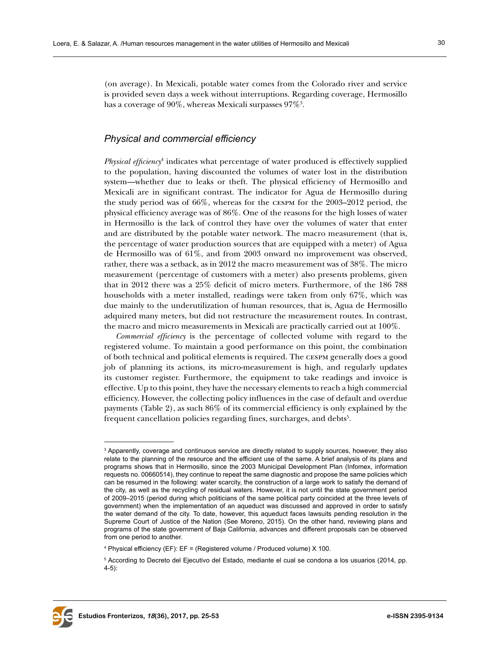(on average). In Mexicali, potable water comes from the Colorado river and service is provided seven days a week without interruptions. Regarding coverage, Hermosillo has a coverage of  $90\%$ , whereas Mexicali surpasses  $97\%$   $^{3}.$ 

# *Physical and commercial efficiency*

*Physical efficiency*<sup>4</sup> indicates what percentage of water produced is effectively supplied to the population, having discounted the volumes of water lost in the distribution system—whether due to leaks or theft. The physical efficiency of Hermosillo and Mexicali are in significant contrast. The indicator for Agua de Hermosillo during the study period was of 66%, whereas for the cespm for the 2003–2012 period, the physical efficiency average was of 86%. One of the reasons for the high losses of water in Hermosillo is the lack of control they have over the volumes of water that enter and are distributed by the potable water network. The macro measurement (that is, the percentage of water production sources that are equipped with a meter) of Agua de Hermosillo was of 61%, and from 2003 onward no improvement was observed, rather, there was a setback, as in 2012 the macro measurement was of 38%. The micro measurement (percentage of customers with a meter) also presents problems, given that in 2012 there was a 25% deficit of micro meters. Furthermore, of the 186 788 households with a meter installed, readings were taken from only 67%, which was due mainly to the underutilization of human resources, that is, Agua de Hermosillo adquired many meters, but did not restructure the measurement routes. In contrast, the macro and micro measurements in Mexicali are practically carried out at 100%.

*Commercial efficiency* is the percentage of collected volume with regard to the registered volume. To maintain a good performance on this point, the combination of both technical and political elements is required. The cespm generally does a good job of planning its actions, its micro-measurement is high, and regularly updates its customer register. Furthermore, the equipment to take readings and invoice is effective. Up to this point, they have the necessary elements to reach a high commercial efficiency. However, the collecting policy influences in the case of default and overdue payments (Table 2), as such 86% of its commercial efficiency is only explained by the frequent cancellation policies regarding fines, surcharges, and debts<sup>5</sup>.



 $\,{}^{3}$  Apparently, coverage and continuous service are directly related to supply sources, however, they also relate to the planning of the resource and the efficient use of the same. A brief analysis of its plans and programs shows that in Hermosillo, since the 2003 Municipal Development Plan (Infomex, information requests no. 00660514), they continue to repeat the same diagnostic and propose the same policies which can be resumed in the following: water scarcity, the construction of a large work to satisfy the demand of the city, as well as the recycling of residual waters. However, it is not until the state government period of 2009–2015 (period during which politicians of the same political party coincided at the three levels of government) when the implementation of an aqueduct was discussed and approved in order to satisfy the water demand of the city. To date, however, this aqueduct faces lawsuits pending resolution in the Supreme Court of Justice of the Nation (See Moreno, 2015). On the other hand, reviewing plans and programs of the state government of Baja California, advances and different proposals can be observed from one period to another.

<sup>4</sup> Physical efficiency (EF): EF = (Registered volume / Produced volume) X 100.

<sup>5</sup> According to Decreto del Ejecutivo del Estado, mediante el cual se condona a los usuarios (2014, pp. 4-5):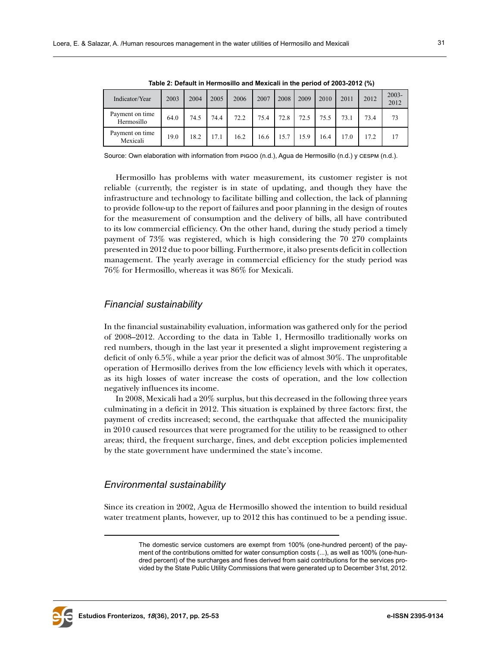| Table 2. Detacht in Hermosino and mexican in the period of 2000-2012 (70) |      |      |      |      |      |      |      |      |      |      |                  |
|---------------------------------------------------------------------------|------|------|------|------|------|------|------|------|------|------|------------------|
| Indicator/Year                                                            | 2003 | 2004 | 2005 | 2006 | 2007 | 2008 | 2009 | 2010 | 2011 | 2012 | $2003 -$<br>2012 |
| Payment on time<br>Hermosillo                                             | 64.0 | 74.5 | 74.4 | 72.2 | 75.4 | 72.8 | 72.5 | 75.5 | 73.1 | 73.4 | 73               |
| Payment on time<br>Mexicali                                               | 19.0 | 18.2 | 17.1 | 16.2 | 16.6 | 15.7 | 15.9 | 16.4 | 17.0 | 17.2 | 17               |

**Table 2: Default in Hermosillo and Mexicali in the period of 2003-2012 (%)**

Source: Own elaboration with information from pigoo (n.d.), Agua de Hermosillo (n.d.) y cespm (n.d.).

Hermosillo has problems with water measurement, its customer register is not reliable (currently, the register is in state of updating, and though they have the infrastructure and technology to facilitate billing and collection, the lack of planning to provide follow-up to the report of failures and poor planning in the design of routes for the measurement of consumption and the delivery of bills, all have contributed to its low commercial efficiency. On the other hand, during the study period a timely payment of 73% was registered, which is high considering the 70 270 complaints presented in 2012 due to poor billing. Furthermore, it also presents deficit in collection management. The yearly average in commercial efficiency for the study period was 76% for Hermosillo, whereas it was 86% for Mexicali.

#### *Financial sustainability*

In the financial sustainability evaluation, information was gathered only for the period of 2008–2012. According to the data in Table 1, Hermosillo traditionally works on red numbers, though in the last year it presented a slight improvement registering a deficit of only 6.5%, while a year prior the deficit was of almost 30%. The unprofitable operation of Hermosillo derives from the low efficiency levels with which it operates, as its high losses of water increase the costs of operation, and the low collection negatively influences its income.

In 2008, Mexicali had a 20% surplus, but this decreased in the following three years culminating in a deficit in 2012. This situation is explained by three factors: first, the payment of credits increased; second, the earthquake that affected the municipality in 2010 caused resources that were programed for the utility to be reassigned to other areas; third, the frequent surcharge, fines, and debt exception policies implemented by the state government have undermined the state's income.

#### *Environmental sustainability*

Since its creation in 2002, Agua de Hermosillo showed the intention to build residual water treatment plants, however, up to 2012 this has continued to be a pending issue.



The domestic service customers are exempt from 100% (one-hundred percent) of the payment of the contributions omitted for water consumption costs (...), as well as 100% (one-hundred percent) of the surcharges and fines derived from said contributions for the services provided by the State Public Utility Commissions that were generated up to December 31st, 2012.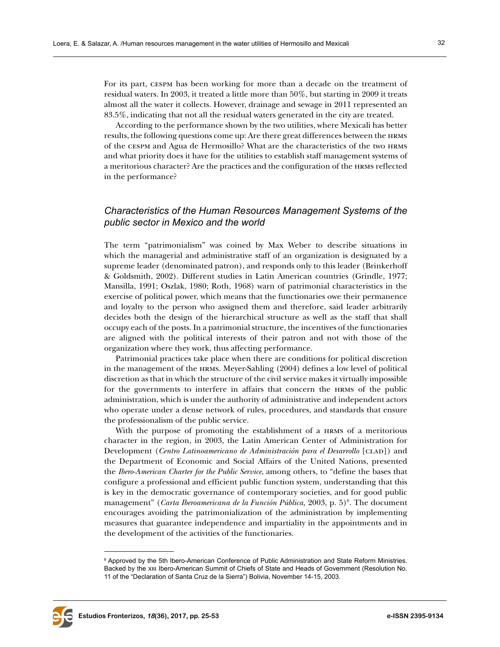For its part, cespm has been working for more than a decade on the treatment of residual waters. In 2003, it treated a little more than 50%, but starting in 2009 it treats almost all the water it collects. However, drainage and sewage in 2011 represented an 83.5%, indicating that not all the residual waters generated in the city are treated.

According to the performance shown by the two utilities, where Mexicali has better results, the following questions come up: Are there great differences between the hrms of the cespm and Agua de Hermosillo? What are the characteristics of the two hrms and what priority does it have for the utilities to establish staff management systems of a meritorious character? Are the practices and the configuration of the hrms reflected in the performance?

# *Characteristics of the Human Resources Management Systems of the public sector in Mexico and the world*

The term "patrimonialism" was coined by Max Weber to describe situations in which the managerial and administrative staff of an organization is designated by a supreme leader (denominated patron), and responds only to this leader (Brinkerhoff & Goldsmith, 2002). Different studies in Latin American countries (Grindle, 1977; Mansilla, 1991; Oszlak, 1980; Roth, 1968) warn of patrimonial characteristics in the exercise of political power, which means that the functionaries owe their permanence and loyalty to the person who assigned them and therefore, said leader arbitrarily decides both the design of the hierarchical structure as well as the staff that shall occupy each of the posts. In a patrimonial structure, the incentives of the functionaries are aligned with the political interests of their patron and not with those of the organization where they work, thus affecting performance.

Patrimonial practices take place when there are conditions for political discretion in the management of the hrms. Meyer-Sahling (2004) defines a low level of political discretion as that in which the structure of the civil service makes it virtually impossible for the governments to interfere in affairs that concern the hrms of the public administration, which is under the authority of administrative and independent actors who operate under a dense network of rules, procedures, and standards that ensure the professionalism of the public service.

With the purpose of promoting the establishment of a HRMS of a meritorious character in the region, in 2003, the Latin American Center of Administration for Development (*Centro Latinoamericano de Administración para el Desarrollo* [clad]) and the Department of Economic and Social Affairs of the United Nations, presented the *Ibero-American Charter for the Public Service*, among others, to "define the bases that configure a professional and efficient public function system, understanding that this is key in the democratic governance of contemporary societies, and for good public management" (*Carta Iberoamericana de la Función Pública*, 2003, p. 5)<sup>6</sup>. The document encourages avoiding the patrimonialization of the administration by implementing measures that guarantee independence and impartiality in the appointments and in the development of the activities of the functionaries.



<sup>&</sup>lt;sup>6</sup> Approved by the 5th Ibero-American Conference of Public Administration and State Reform Ministries. Backed by the xiii Ibero-American Summit of Chiefs of State and Heads of Government (Resolution No. 11 of the "Declaration of Santa Cruz de la Sierra") Bolivia, November 14-15, 2003.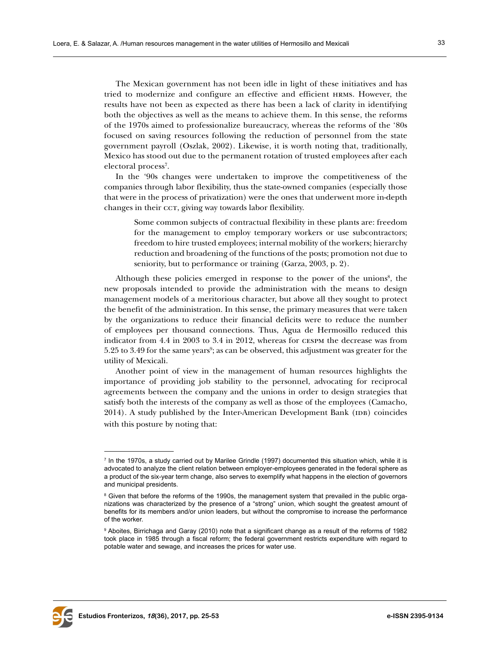The Mexican government has not been idle in light of these initiatives and has tried to modernize and configure an effective and efficient hrms. However, the results have not been as expected as there has been a lack of clarity in identifying both the objectives as well as the means to achieve them. In this sense, the reforms of the 1970s aimed to professionalize bureaucracy, whereas the reforms of the '80s focused on saving resources following the reduction of personnel from the state government payroll (Oszlak, 2002). Likewise, it is worth noting that, traditionally, Mexico has stood out due to the permanent rotation of trusted employees after each electoral process<sup>7</sup>.

In the '90s changes were undertaken to improve the competitiveness of the companies through labor flexibility, thus the state-owned companies (especially those that were in the process of privatization) were the ones that underwent more in-depth changes in their cct, giving way towards labor flexibility.

Some common subjects of contractual flexibility in these plants are: freedom for the management to employ temporary workers or use subcontractors; freedom to hire trusted employees; internal mobility of the workers; hierarchy reduction and broadening of the functions of the posts; promotion not due to seniority, but to performance or training (Garza, 2003, p. 2).

Although these policies emerged in response to the power of the unions<sup>8</sup>, the new proposals intended to provide the administration with the means to design management models of a meritorious character, but above all they sought to protect the benefit of the administration. In this sense, the primary measures that were taken by the organizations to reduce their financial deficits were to reduce the number of employees per thousand connections. Thus, Agua de Hermosillo reduced this indicator from 4.4 in 2003 to 3.4 in 2012, whereas for cespm the decrease was from  $5.25$  to  $3.49$  for the same years $\degree$ ; as can be observed, this adjustment was greater for the utility of Mexicali.

Another point of view in the management of human resources highlights the importance of providing job stability to the personnel, advocating for reciprocal agreements between the company and the unions in order to design strategies that satisfy both the interests of the company as well as those of the employees (Camacho, 2014). A study published by the Inter-American Development Bank (IDB) coincides with this posture by noting that:



<sup>7</sup> In the 1970s, a study carried out by Marilee Grindle (1997) documented this situation which, while it is advocated to analyze the client relation between employer-employees generated in the federal sphere as a product of the six-year term change, also serves to exemplify what happens in the election of governors and municipal presidents.

 $\textsuperscript{s}$  Given that before the reforms of the 1990s, the management system that prevailed in the public organizations was characterized by the presence of a "strong" union, which sought the greatest amount of benefits for its members and/or union leaders, but without the compromise to increase the performance of the worker.

 $^{\rm 9}$  Aboites, Birrichaga and Garay (2010) note that a significant change as a result of the reforms of 1982  $\,$ took place in 1985 through a fiscal reform; the federal government restricts expenditure with regard to potable water and sewage, and increases the prices for water use.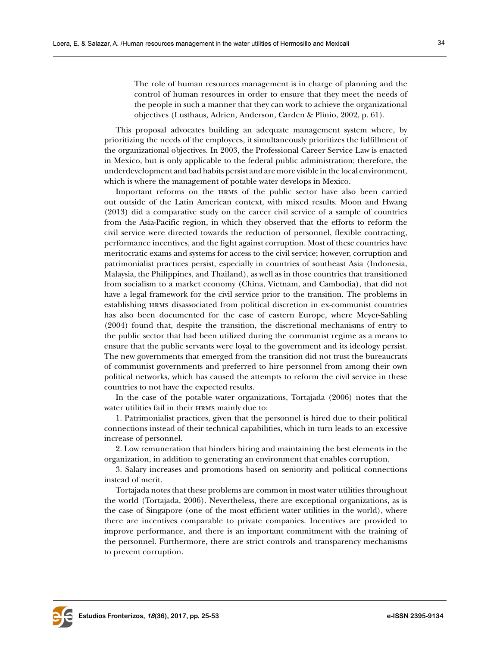The role of human resources management is in charge of planning and the control of human resources in order to ensure that they meet the needs of the people in such a manner that they can work to achieve the organizational objectives (Lusthaus, Adrien, Anderson, Carden & Plinio, 2002, p. 61).

This proposal advocates building an adequate management system where, by prioritizing the needs of the employees, it simultaneously prioritizes the fulfillment of the organizational objectives. In 2003, the Professional Career Service Law is enacted in Mexico, but is only applicable to the federal public administration; therefore, the underdevelopment and bad habits persist and are more visible in the local environment, which is where the management of potable water develops in Mexico.

Important reforms on the hrms of the public sector have also been carried out outside of the Latin American context, with mixed results. Moon and Hwang (2013) did a comparative study on the career civil service of a sample of countries from the Asia-Pacific region, in which they observed that the efforts to reform the civil service were directed towards the reduction of personnel, flexible contracting, performance incentives, and the fight against corruption. Most of these countries have meritocratic exams and systems for access to the civil service; however, corruption and patrimonialist practices persist, especially in countries of southeast Asia (Indonesia, Malaysia, the Philippines, and Thailand), as well as in those countries that transitioned from socialism to a market economy (China, Vietnam, and Cambodia), that did not have a legal framework for the civil service prior to the transition. The problems in establishing hrms disassociated from political discretion in ex-communist countries has also been documented for the case of eastern Europe, where Meyer-Sahling (2004) found that, despite the transition, the discretional mechanisms of entry to the public sector that had been utilized during the communist regime as a means to ensure that the public servants were loyal to the government and its ideology persist. The new governments that emerged from the transition did not trust the bureaucrats of communist governments and preferred to hire personnel from among their own political networks, which has caused the attempts to reform the civil service in these countries to not have the expected results.

In the case of the potable water organizations, Tortajada (2006) notes that the water utilities fail in their HRMS mainly due to:

1. Patrimonialist practices, given that the personnel is hired due to their political connections instead of their technical capabilities, which in turn leads to an excessive increase of personnel.

2. Low remuneration that hinders hiring and maintaining the best elements in the organization, in addition to generating an environment that enables corruption.

3. Salary increases and promotions based on seniority and political connections instead of merit.

Tortajada notes that these problems are common in most water utilities throughout the world (Tortajada, 2006). Nevertheless, there are exceptional organizations, as is the case of Singapore (one of the most efficient water utilities in the world), where there are incentives comparable to private companies. Incentives are provided to improve performance, and there is an important commitment with the training of the personnel. Furthermore, there are strict controls and transparency mechanisms to prevent corruption.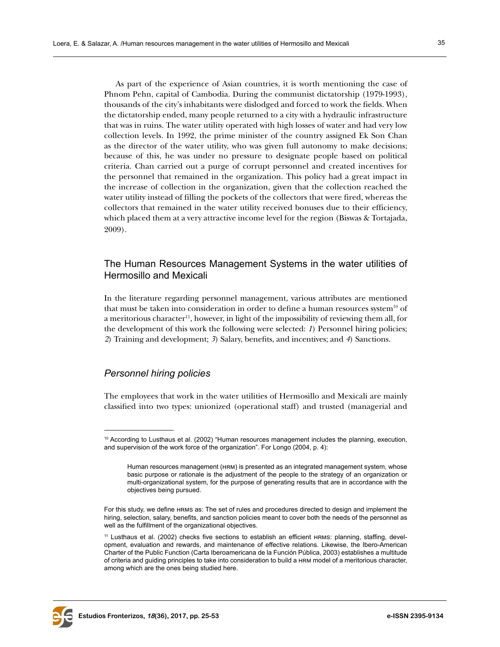As part of the experience of Asian countries, it is worth mentioning the case of Phnom Pehn, capital of Cambodia. During the communist dictatorship (1979-1993), thousands of the city's inhabitants were dislodged and forced to work the fields. When the dictatorship ended, many people returned to a city with a hydraulic infrastructure that was in ruins. The water utility operated with high losses of water and had very low collection levels. In 1992, the prime minister of the country assigned Ek Son Chan as the director of the water utility, who was given full autonomy to make decisions; because of this, he was under no pressure to designate people based on political criteria. Chan carried out a purge of corrupt personnel and created incentives for the personnel that remained in the organization. This policy had a great impact in the increase of collection in the organization, given that the collection reached the water utility instead of filling the pockets of the collectors that were fired, whereas the collectors that remained in the water utility received bonuses due to their efficiency, which placed them at a very attractive income level for the region (Biswas & Tortajada, 2009).

# The Human Resources Management Systems in the water utilities of Hermosillo and Mexicali

In the literature regarding personnel management, various attributes are mentioned that must be taken into consideration in order to define a human resources system<sup>10</sup> of a meritorious character<sup>11</sup>, however, in light of the impossibility of reviewing them all, for the development of this work the following were selected: *1*) Personnel hiring policies; *2*) Training and development; *3*) Salary, benefits, and incentives; and *4*) Sanctions.

## *Personnel hiring policies*

The employees that work in the water utilities of Hermosillo and Mexicali are mainly classified into two types: unionized (operational staff) and trusted (managerial and



<sup>10</sup> According to Lusthaus et al. (2002) "Human resources management includes the planning, execution, and supervision of the work force of the organization". For Longo (2004, p. 4):

Human resources management (hrm) is presented as an integrated management system, whose basic purpose or rationale is the adjustment of the people to the strategy of an organization or multi-organizational system, for the purpose of generating results that are in accordance with the objectives being pursued.

For this study, we define HRMS as: The set of rules and procedures directed to design and implement the hiring, selection, salary, benefits, and sanction policies meant to cover both the needs of the personnel as well as the fulfillment of the organizational objectives.

<sup>11</sup> Lusthaus et al. (2002) checks five sections to establish an efficient hrms: planning, staffing, development, evaluation and rewards, and maintenance of effective relations. Likewise, the Ibero-American Charter of the Public Function (Carta Iberoamericana de la Función Pública, 2003) establishes a multitude of criteria and guiding principles to take into consideration to build a hrm model of a meritorious character, among which are the ones being studied here.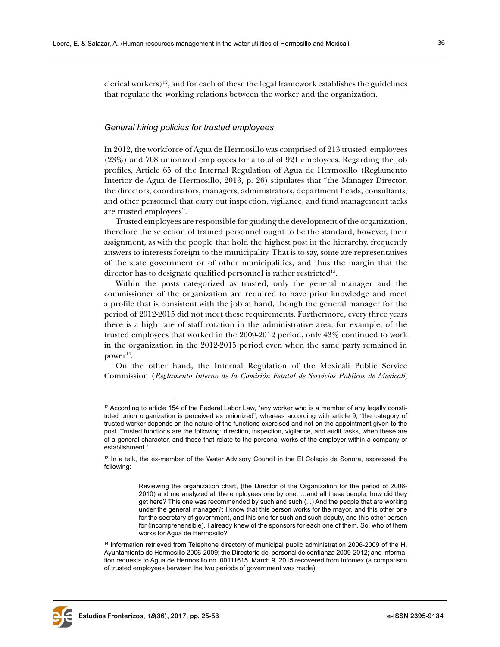clerical workers)<sup>12</sup>, and for each of these the legal framework establishes the guidelines that regulate the working relations between the worker and the organization.

#### *General hiring policies for trusted employees*

In 2012, the workforce of Agua de Hermosillo was comprised of 213 trusted employees (23%) and 708 unionized employees for a total of 921 employees. Regarding the job profiles, Article 65 of the Internal Regulation of Agua de Hermosillo (Reglamento Interior de Agua de Hermosillo, 2013, p. 26) stipulates that "the Manager Director, the directors, coordinators, managers, administrators, department heads, consultants, and other personnel that carry out inspection, vigilance, and fund management tacks are trusted employees".

Trusted employees are responsible for guiding the development of the organization, therefore the selection of trained personnel ought to be the standard, however, their assignment, as with the people that hold the highest post in the hierarchy, frequently answers to interests foreign to the municipality. That is to say, some are representatives of the state government or of other municipalities, and thus the margin that the director has to designate qualified personnel is rather restricted<sup>13</sup>.

Within the posts categorized as trusted, only the general manager and the commissioner of the organization are required to have prior knowledge and meet a profile that is consistent with the job at hand, though the general manager for the period of 2012-2015 did not meet these requirements. Furthermore, every three years there is a high rate of staff rotation in the administrative area; for example, of the trusted employees that worked in the 2009-2012 period, only 43% continued to work in the organization in the 2012-2015 period even when the same party remained in power<sup>14</sup>.

On the other hand, the Internal Regulation of the Mexicali Public Service Commission (*Reglamento Interno de la Comisión Estatal de Servicios Públicos de Mexicali,*



<sup>&</sup>lt;sup>12</sup> According to article 154 of the Federal Labor Law, "any worker who is a member of any legally constituted union organization is perceived as unionized", whereas according with article 9, "the category of trusted worker depends on the nature of the functions exercised and not on the appointment given to the post. Trusted functions are the following: direction, inspection, vigilance, and audit tasks, when these are of a general character, and those that relate to the personal works of the employer within a company or establishment."

<sup>&</sup>lt;sup>13</sup> In a talk, the ex-member of the Water Advisory Council in the El Colegio de Sonora, expressed the following:

Reviewing the organization chart, (the Director of the Organization for the period of 2006- 2010) and me analyzed all the employees one by one: …and all these people, how did they get here? This one was recommended by such and such (...) And the people that are working under the general manager?: I know that this person works for the mayor, and this other one for the secretary of government, and this one for such and such deputy, and this other person for (incomprehensible). I already knew of the sponsors for each one of them. So, who of them works for Agua de Hermosillo?

<sup>&</sup>lt;sup>14</sup> Information retrieved from Telephone directory of municipal public administration 2006-2009 of the H. Ayuntamiento de Hermosillo 2006-2009; the Directorio del personal de confianza 2009-2012; and information requests to Agua de Hermosillo no. 00111615, March 9, 2015 recovered from Infomex (a comparison of trusted employees berween the two periods of government was made).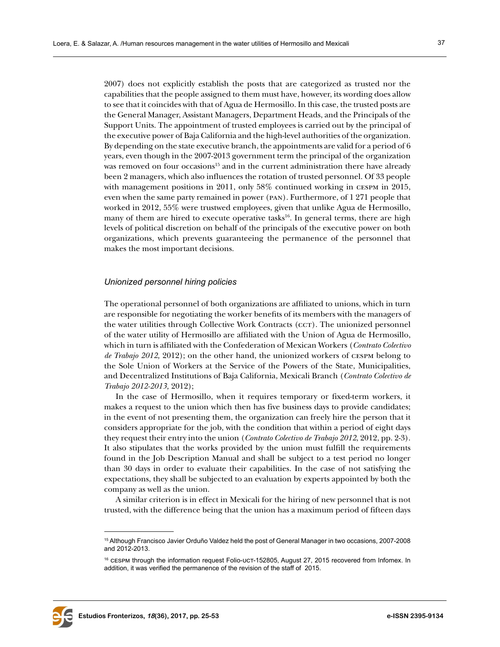2007) does not explicitly establish the posts that are categorized as trusted nor the capabilities that the people assigned to them must have, however, its wording does allow to see that it coincides with that of Agua de Hermosillo. In this case, the trusted posts are the General Manager, Assistant Managers, Department Heads, and the Principals of the Support Units. The appointment of trusted employees is carried out by the principal of the executive power of Baja California and the high-level authorities of the organization. By depending on the state executive branch, the appointments are valid for a period of 6 years, even though in the 2007-2013 government term the principal of the organization was removed on four occasions<sup>15</sup> and in the current administration there have already been 2 managers, which also influences the rotation of trusted personnel. Of 33 people with management positions in 2011, only 58% continued working in CESPM in 2015, even when the same party remained in power (pan). Furthermore, of 1 271 people that worked in 2012, 55% were trustwed employees, given that unlike Agua de Hermosillo, many of them are hired to execute operative tasks<sup>16</sup>. In general terms, there are high levels of political discretion on behalf of the principals of the executive power on both organizations, which prevents guaranteeing the permanence of the personnel that makes the most important decisions.

#### *Unionized personnel hiring policies*

The operational personnel of both organizations are affiliated to unions, which in turn are responsible for negotiating the worker benefits of its members with the managers of the water utilities through Collective Work Contracts (cct). The unionized personnel of the water utility of Hermosillo are affiliated with the Union of Agua de Hermosillo, which in turn is affiliated with the Confederation of Mexican Workers (*Contrato Colectivo de Trabajo 2012,* 2012); on the other hand, the unionized workers of cespm belong to the Sole Union of Workers at the Service of the Powers of the State, Municipalities, and Decentralized Institutions of Baja California, Mexicali Branch (*Contrato Colectivo de Trabajo 2012-2013,* 2012);

In the case of Hermosillo, when it requires temporary or fixed-term workers, it makes a request to the union which then has five business days to provide candidates; in the event of not presenting them, the organization can freely hire the person that it considers appropriate for the job, with the condition that within a period of eight days they request their entry into the union (*Contrato Colectivo de Trabajo 2012*, 2012, pp. 2-3). It also stipulates that the works provided by the union must fulfill the requirements found in the Job Description Manual and shall be subject to a test period no longer than 30 days in order to evaluate their capabilities. In the case of not satisfying the expectations, they shall be subjected to an evaluation by experts appointed by both the company as well as the union.

A similar criterion is in effect in Mexicali for the hiring of new personnel that is not trusted, with the difference being that the union has a maximum period of fifteen days



<sup>15</sup> Although Francisco Javier Orduño Valdez held the post of General Manager in two occasions, 2007-2008 and 2012-2013.

 $16$  cespm through the information request Folio-uct-152805, August 27, 2015 recovered from Infomex. In addition, it was verified the permanence of the revision of the staff of 2015.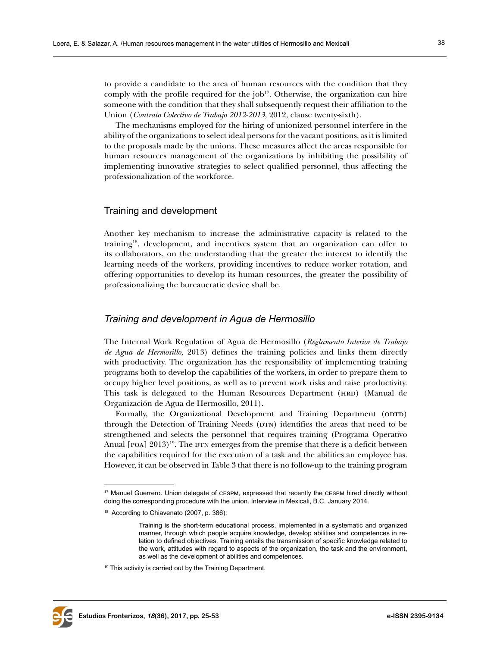to provide a candidate to the area of human resources with the condition that they comply with the profile required for the  $job^{17}$ . Otherwise, the organization can hire someone with the condition that they shall subsequently request their affiliation to the Union (*Contrato Colectivo de Trabajo 2012-2013*, 2012, clause twenty-sixth).

The mechanisms employed for the hiring of unionized personnel interfere in the ability of the organizations to select ideal persons for the vacant positions, as it is limited to the proposals made by the unions. These measures affect the areas responsible for human resources management of the organizations by inhibiting the possibility of implementing innovative strategies to select qualified personnel, thus affecting the professionalization of the workforce.

#### Training and development

Another key mechanism to increase the administrative capacity is related to the training18, development, and incentives system that an organization can offer to its collaborators, on the understanding that the greater the interest to identify the learning needs of the workers, providing incentives to reduce worker rotation, and offering opportunities to develop its human resources, the greater the possibility of professionalizing the bureaucratic device shall be.

#### *Training and development in Agua de Hermosillo*

The Internal Work Regulation of Agua de Hermosillo (*Reglamento Interior de Trabajo de Agua de Hermosillo*, 2013) defines the training policies and links them directly with productivity. The organization has the responsibility of implementing training programs both to develop the capabilities of the workers, in order to prepare them to occupy higher level positions, as well as to prevent work risks and raise productivity. This task is delegated to the Human Resources Department (HRD) (Manual de Organización de Agua de Hermosillo, 2011).

Formally, the Organizational Development and Training Department (ODTD) through the Detection of Training Needs (DTN) identifies the areas that need to be strengthened and selects the personnel that requires training (Programa Operativo Anual  $[$ POA $]$   $2013)$ <sup>19</sup>. The DTN emerges from the premise that there is a deficit between the capabilities required for the execution of a task and the abilities an employee has. However, it can be observed in Table 3 that there is no follow-up to the training program



<sup>17</sup> Manuel Guerrero. Union delegate of CESPM, expressed that recently the CESPM hired directly without doing the corresponding procedure with the union. Interview in Mexicali, B.C. January 2014.

<sup>18</sup> According to Chiavenato (2007, p. 386):

Training is the short-term educational process, implemented in a systematic and organized manner, through which people acquire knowledge, develop abilities and competences in relation to defined objectives. Training entails the transmission of specific knowledge related to the work, attitudes with regard to aspects of the organization, the task and the environment, as well as the development of abilities and competences.

 $19$  This activity is carried out by the Training Department.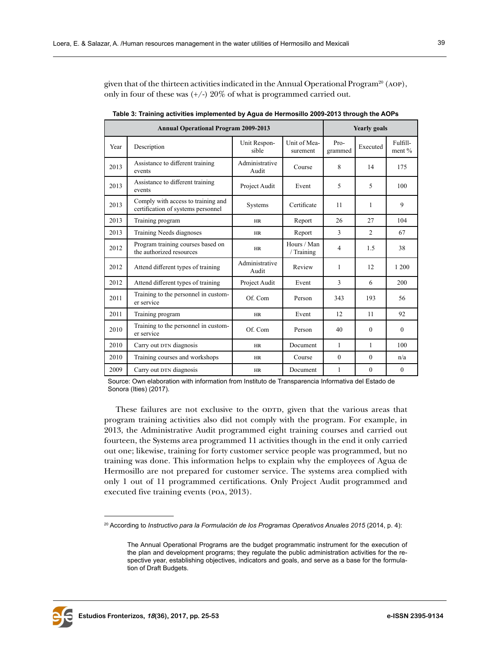given that of the thirteen activities indicated in the Annual Operational Program<sup>20</sup> (AOP), only in four of these was  $(+/-)$  20% of what is programmed carried out.

|      | <b>Annual Operational Program 2009-2013</b>                              | <b>Yearly</b> goals     |                           |                   |                |                      |
|------|--------------------------------------------------------------------------|-------------------------|---------------------------|-------------------|----------------|----------------------|
| Year | Description                                                              | Unit Respon-<br>sible   | Unit of Mea-<br>surement  | $Pro-$<br>grammed | Executed       | Fulfill-<br>ment $%$ |
| 2013 | Assistance to different training<br>events                               | Administrative<br>Audit | Course                    | 8                 | 14             | 175                  |
| 2013 | Assistance to different training<br>events                               | Project Audit           | Event                     | 5                 | 5              | 100                  |
| 2013 | Comply with access to training and<br>certification of systems personnel | Systems                 | Certificate               |                   | 1              | 9                    |
| 2013 | Training program                                                         | <b>HR</b>               | Report                    | 26                | 27             | 104                  |
| 2013 | Training Needs diagnoses                                                 | <b>HR</b>               | Report                    | 3                 | $\overline{2}$ | 67                   |
| 2012 | Program training courses based on<br>the authorized resources            | <b>HR</b>               | Hours / Man<br>/ Training | 4                 | 1.5            | 38                   |
| 2012 | Attend different types of training                                       | Administrative<br>Audit | Review                    | 1                 | 12             | 1 200                |
| 2012 | Attend different types of training                                       | Project Audit           | Event                     | 3                 | 6              | 200                  |
| 2011 | Training to the personnel in custom-<br>er service                       | Of. Com                 | Person                    | 343               | 193            | 56                   |
| 2011 | Training program                                                         | <b>HR</b>               | Event                     | 12                | 11             | 92                   |
| 2010 | Training to the personnel in custom-<br>er service                       | Of. Com                 | Person                    | 40                | $\Omega$       | $\Omega$             |
| 2010 | Carry out DTN diagnosis                                                  | <b>HR</b>               | Document                  | 1                 | 1              | 100                  |
| 2010 | Training courses and workshops                                           | <b>HR</b>               | Course                    | $\theta$          | $\theta$       | n/a                  |
| 2009 | Carry out DTN diagnosis                                                  | <b>HR</b>               | Document                  | 1                 | $\theta$       | $\theta$             |

**Table 3: Training activities implemented by Agua de Hermosillo 2009-2013 through the AOPs**

Source: Own elaboration with information from Instituto de Transparencia Informativa del Estado de Sonora (Ities) (2017).

These failures are not exclusive to the option, given that the various areas that program training activities also did not comply with the program. For example, in 2013, the Administrative Audit programmed eight training courses and carried out fourteen, the Systems area programmed 11 activities though in the end it only carried out one; likewise, training for forty customer service people was programmed, but no training was done. This information helps to explain why the employees of Agua de Hermosillo are not prepared for customer service. The systems area complied with only 1 out of 11 programmed certifications. Only Project Audit programmed and executed five training events (poa, 2013).



<sup>&</sup>lt;sup>20</sup> According to *Instructivo para la Formulación de los Programas Operativos Anuales 2015* (2014, p. 4):

The Annual Operational Programs are the budget programmatic instrument for the execution of the plan and development programs; they regulate the public administration activities for the respective year, establishing objectives, indicators and goals, and serve as a base for the formulation of Draft Budgets.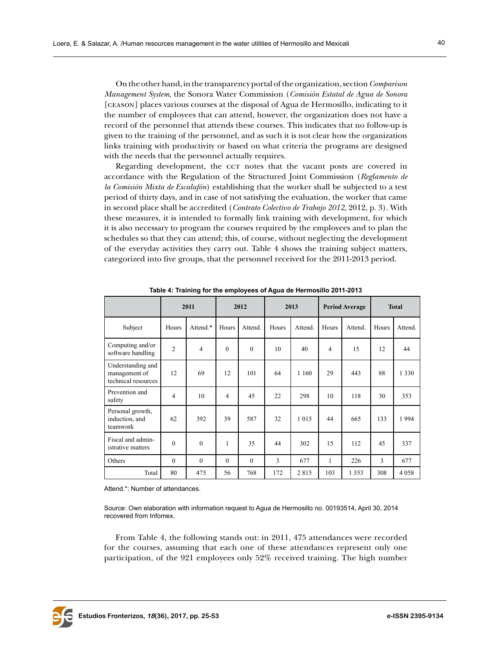On the other hand, in the transparency portal of the organization, section *Comparison Management System*, the Sonora Water Commission (*Comisión Estatal de Agua de Sonora*  [ceason] places various courses at the disposal of Agua de Hermosillo, indicating to it the number of employees that can attend, however, the organization does not have a record of the personnel that attends these courses. This indicates that no follow-up is given to the training of the personnel, and as such it is not clear how the organization links training with productivity or based on what criteria the programs are designed with the needs that the personnel actually requires.

Regarding development, the cct notes that the vacant posts are covered in accordance with the Regulation of the Structured Joint Commission (*Reglamento de la Comisión Mixta de Escalafón*) establishing that the worker shall be subjected to a test period of thirty days, and in case of not satisfying the evaluation, the worker that came in second place shall be accredited (*Contrato Colectivo de Trabajo 2012,* 2012, p. 3). With these measures, it is intended to formally link training with development, for which it is also necessary to program the courses required by the employees and to plan the schedules so that they can attend; this, of course, without neglecting the development of the everyday activities they carry out. Table 4 shows the training subject matters, categorized into five groups, that the personnel received for the 2011-2013 period.

|                                                           | 2011           |          | 2012     |          | 2013  |         | <b>Period Average</b> |         | <b>Total</b> |         |
|-----------------------------------------------------------|----------------|----------|----------|----------|-------|---------|-----------------------|---------|--------------|---------|
| Subject                                                   | Hours          | Attend.* | Hours    | Attend.  | Hours | Attend. | Hours                 | Attend. | Hours        | Attend. |
| Computing and/or<br>software handling                     | $\overline{2}$ | 4        | $\theta$ | $\theta$ | 10    | 40      | 4                     | 15      | 12           | 44      |
| Understanding and<br>management of<br>technical resources | 12             | 69       | 12       | 101      | 64    | 1 1 6 0 | 29                    | 443     | 88           | 1 3 3 0 |
| Prevention and<br>safety                                  | 4              | 10       | 4        | 45       | 22    | 298     | 10                    | 118     | 30           | 353     |
| Personal growth,<br>induction, and<br>teamwork            | 62             | 392      | 39       | 587      | 32    | 1 0 1 5 | 44                    | 665     | 133          | 1994    |
| Fiscal and admin-<br>istrative matters                    | $\mathbf{0}$   | $\theta$ | 1        | 35       | 44    | 302     | 15                    | 112     | 45           | 337     |
| Others                                                    | $\theta$       | $\theta$ | $\theta$ | $\theta$ | 3     | 677     | 1                     | 226     | 3            | 677     |
| Total                                                     | 80             | 475      | 56       | 768      | 172   | 2815    | 103                   | 1 3 5 3 | 308          | 4058    |

**Table 4: Training for the employees of Agua de Hermosillo 2011-2013**

Attend<sup>\*</sup>: Number of attendances.

Source: Own elaboration with information request to Agua de Hermosillo no. 00193514, April 30, 2014 recovered from Infomex.

From Table 4, the following stands out: in 2011, 475 attendances were recorded for the courses, assuming that each one of these attendances represent only one participation, of the 921 employees only 52% received training. The high number

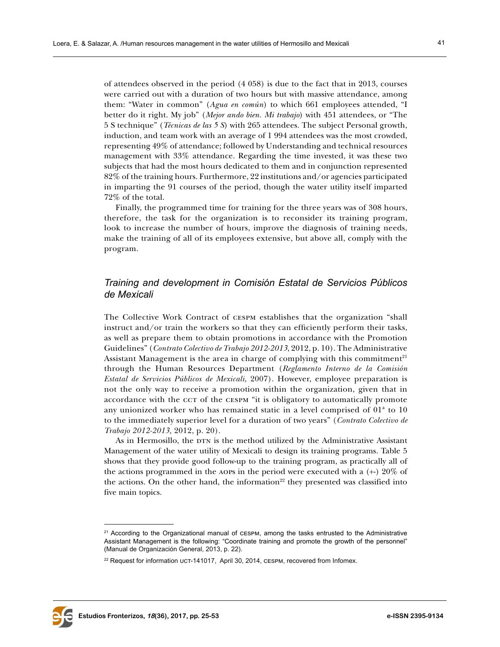of attendees observed in the period (4 058) is due to the fact that in 2013, courses were carried out with a duration of two hours but with massive attendance, among them: "Water in common" (*Agua en común*) to which 661 employees attended, "I better do it right. My job" (*Mejor ando bien. Mi trabajo*) with 451 attendees, or "The 5 S technique" (*Técnicas de las 5 S*) with 265 attendees. The subject Personal growth, induction, and team work with an average of 1 994 attendees was the most crowded, representing 49% of attendance; followed by Understanding and technical resources management with 33% attendance. Regarding the time invested, it was these two subjects that had the most hours dedicated to them and in conjunction represented 82% of the training hours. Furthermore, 22 institutions and/or agencies participated in imparting the 91 courses of the period, though the water utility itself imparted 72% of the total.

Finally, the programmed time for training for the three years was of 308 hours, therefore, the task for the organization is to reconsider its training program, look to increase the number of hours, improve the diagnosis of training needs, make the training of all of its employees extensive, but above all, comply with the program.

# *Training and development in Comisión Estatal de Servicios Públicos de Mexicali*

The Collective Work Contract of cespm establishes that the organization "shall instruct and/or train the workers so that they can efficiently perform their tasks, as well as prepare them to obtain promotions in accordance with the Promotion Guidelines" (*Contrato Colectivo de Trabajo 2012-2013*, 2012, p. 10). The Administrative Assistant Management is the area in charge of complying with this commitment $21$ through the Human Resources Department (*Reglamento Interno de la Comisión Estatal de Servicios Públicos de Mexicali*, 2007). However, employee preparation is not the only way to receive a promotion within the organization, given that in accordance with the ccT of the cESPM "it is obligatory to automatically promote any unionized worker who has remained static in a level comprised of 01ª to 10 to the immediately superior level for a duration of two years" (*Contrato Colectivo de Trabajo 2012-2013,* 2012, p. 20).

As in Hermosillo, the DTN is the method utilized by the Administrative Assistant Management of the water utility of Mexicali to design its training programs. Table 5 shows that they provide good follow-up to the training program, as practically all of the actions programmed in the AOPs in the period were executed with a  $(+)$  20% of the actions. On the other hand, the information $^{22}$  they presented was classified into five main topics.



<sup>&</sup>lt;sup>21</sup> According to the Organizational manual of CESPM, among the tasks entrusted to the Administrative Assistant Management is the following: "Coordinate training and promote the growth of the personnel" (Manual de Organización General, 2013, p. 22).

<sup>&</sup>lt;sup>22</sup> Request for information UCT-141017, April 30, 2014, CESPM, recovered from Infomex.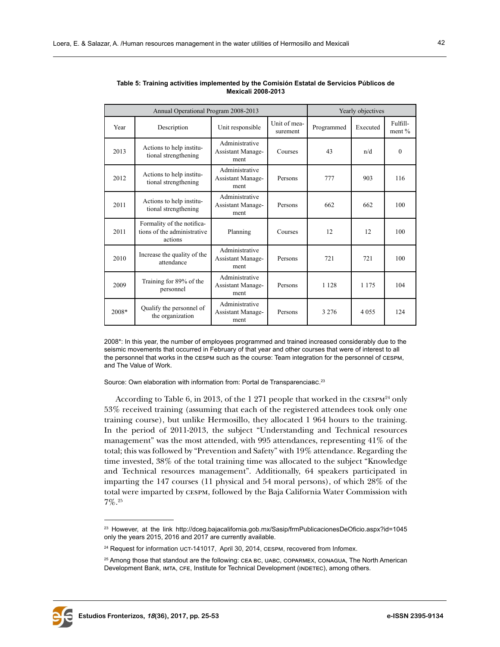|       | Annual Operational Program 2008-2013                                 | Yearly objectives                                  |                          |            |          |                      |
|-------|----------------------------------------------------------------------|----------------------------------------------------|--------------------------|------------|----------|----------------------|
| Year  | Description                                                          | Unit responsible                                   | Unit of mea-<br>surement | Programmed | Executed | Fulfill-<br>ment $%$ |
| 2013  | Actions to help institu-<br>tional strengthening                     | Administrative<br><b>Assistant Manage-</b><br>ment | Courses                  | 43         | n/d      | 0                    |
| 2012  | Actions to help institu-<br>tional strengthening                     | Administrative<br><b>Assistant Manage-</b><br>ment | Persons                  | 777        | 903      | 116                  |
| 2011  | Actions to help institu-<br>tional strengthening                     | Administrative<br><b>Assistant Manage-</b><br>ment | Persons                  | 662        | 662      | 100                  |
| 2011  | Formality of the notifica-<br>tions of the administrative<br>actions | Planning                                           | Courses                  | 12         | 12       | 100                  |
| 2010  | Increase the quality of the<br>attendance                            | Administrative<br><b>Assistant Manage-</b><br>ment | Persons                  | 721        | 721      | 100                  |
| 2009  | Training for 89% of the<br>personnel                                 | Administrative<br><b>Assistant Manage-</b><br>ment | Persons                  | 1 1 2 8    | 1 1 7 5  | 104                  |
| 2008* | Qualify the personnel of<br>the organization                         | Administrative<br><b>Assistant Manage-</b><br>ment | Persons                  | 3 2 7 6    | 4 0 5 5  | 124                  |

| Table 5: Training activities implemented by the Comisión Estatal de Servicios Públicos de |
|-------------------------------------------------------------------------------------------|
| Mexicali 2008-2013                                                                        |

2008\*: In this year, the number of employees programmed and trained increased considerably due to the seismic movements that occurred in February of that year and other courses that were of interest to all the personnel that works in the cespm such as the course: Team integration for the personnel of cespm, and The Value of Work.

Source: Own elaboration with information from: Portal de Transparenciabc.<sup>23</sup>

According to Table 6, in 2013, of the 1 271 people that worked in the  $CESPM^{24}$  only 53% received training (assuming that each of the registered attendees took only one training course), but unlike Hermosillo, they allocated 1 964 hours to the training. In the period of 2011-2013, the subject "Understanding and Technical resources management" was the most attended, with 995 attendances, representing 41% of the total; this was followed by "Prevention and Safety" with 19% attendance. Regarding the time invested, 38% of the total training time was allocated to the subject "Knowledge and Technical resources management". Additionally, 64 speakers participated in imparting the 147 courses (11 physical and 54 moral persons), of which 28% of the total were imparted by cespm, followed by the Baja California Water Commission with 7%.25



<sup>23</sup> However, at the link http://dceg.bajacalifornia.gob.mx/Sasip/frmPublicacionesDeOficio.aspx?id=1045 only the years 2015, 2016 and 2017 are currently available.

<sup>&</sup>lt;sup>24</sup> Request for information UCT-141017, April 30, 2014, CESPM, recovered from Infomex.

<sup>&</sup>lt;sup>25</sup> Among those that standout are the following: CEA BC, UABC, COPARMEX, CONAGUA, The North American Development Bank, IMTA, CFE, Institute for Technical Development (INDETEC), among others.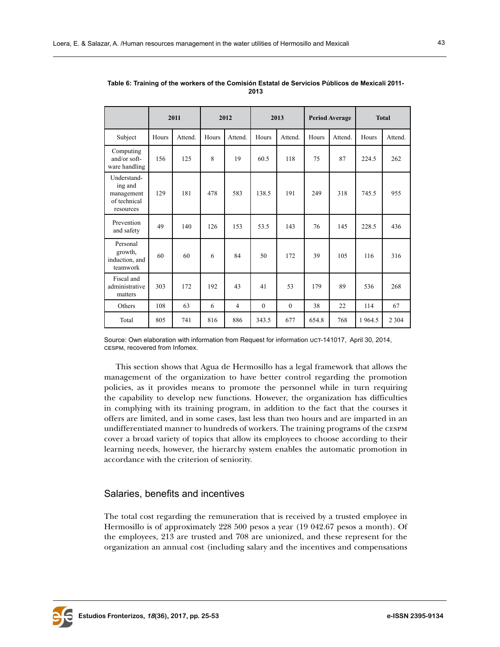|                                                                   | 2011  |         | 2012  |                | 2013         |              | <b>Period Average</b> |         | <b>Total</b> |         |
|-------------------------------------------------------------------|-------|---------|-------|----------------|--------------|--------------|-----------------------|---------|--------------|---------|
| Subject                                                           | Hours | Attend. | Hours | Attend.        | Hours        | Attend.      | Hours                 | Attend. | Hours        | Attend. |
| Computing<br>and/or soft-<br>ware handling                        | 156   | 125     | 8     | 19             | 60.5         | 118          | 75                    | 87      | 224.5        | 262     |
| Understand-<br>ing and<br>management<br>of technical<br>resources | 129   | 181     | 478   | 583            | 138.5        | 191          | 249                   | 318     | 745.5        | 955     |
| Prevention<br>and safety                                          | 49    | 140     | 126   | 153            | 53.5         | 143          | 76                    | 145     | 228.5        | 436     |
| Personal<br>growth,<br>induction, and<br>teamwork                 | 60    | 60      | 6     | 84             | 50           | 172          | 39                    | 105     | 116          | 316     |
| Fiscal and<br>administrative<br>matters                           | 303   | 172     | 192   | 43             | 41           | 53           | 179                   | 89      | 536          | 268     |
| Others                                                            | 108   | 63      | 6     | $\overline{4}$ | $\mathbf{0}$ | $\mathbf{0}$ | 38                    | 22      | 114          | 67      |
| Total                                                             | 805   | 741     | 816   | 886            | 343.5        | 677          | 654.8                 | 768     | 1964.5       | 2 3 0 4 |

**Table 6: Training of the workers of the Comisión Estatal de Servicios Públicos de Mexicali 2011- 2013**

Source: Own elaboration with information from Request for information uct-141017, April 30, 2014, cespm, recovered from Infomex.

This section shows that Agua de Hermosillo has a legal framework that allows the management of the organization to have better control regarding the promotion policies, as it provides means to promote the personnel while in turn requiring the capability to develop new functions. However, the organization has difficulties in complying with its training program, in addition to the fact that the courses it offers are limited, and in some cases, last less than two hours and are imparted in an undifferentiated manner to hundreds of workers. The training programs of the cespm cover a broad variety of topics that allow its employees to choose according to their learning needs, however, the hierarchy system enables the automatic promotion in accordance with the criterion of seniority.

## Salaries, benefits and incentives

The total cost regarding the remuneration that is received by a trusted employee in Hermosillo is of approximately 228 500 pesos a year (19 042.67 pesos a month). Of the employees, 213 are trusted and 708 are unionized, and these represent for the organization an annual cost (including salary and the incentives and compensations

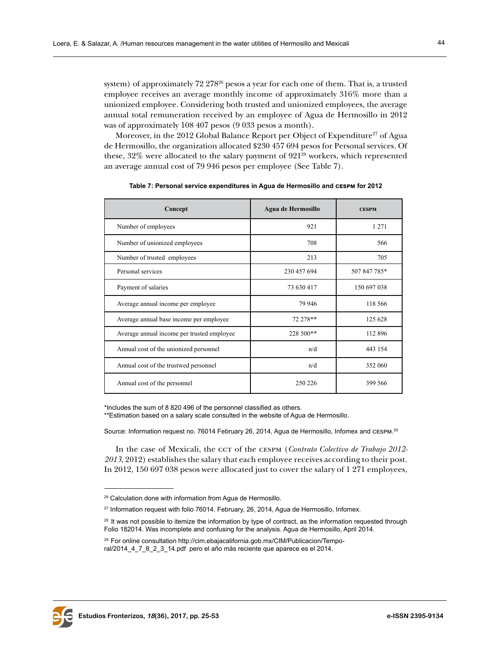system) of approximately  $72\,278^{26}$  pesos a year for each one of them. That is, a trusted employee receives an average monthly income of approximately 316% more than a unionized employee. Considering both trusted and unionized employees, the average annual total remuneration received by an employee of Agua de Hermosillo in 2012 was of approximately 108 407 pesos (9 033 pesos a month).

Moreover, in the 2012 Global Balance Report per Object of Expenditure<sup>27</sup> of Agua de Hermosillo, the organization allocated \$230 457 694 pesos for Personal services. Of these, 32% were allocated to the salary payment of 92128 workers, which represented an average annual cost of 79 946 pesos per employee (See Table 7).

| Concept                                    | Agua de Hermosillo | <b>CESPM</b> |
|--------------------------------------------|--------------------|--------------|
| Number of employees                        | 921                | 1 2 7 1      |
| Number of unionized employees              | 708                | 566          |
| Number of trusted employees                | 213                | 705          |
| Personal services                          | 230 457 694        | 507 847 785* |
| Payment of salaries                        | 73 630 417         | 150 697 038  |
| Average annual income per employee         | 79 946             | 118 566      |
| Average annual base income per employee    | 72 278**           | 125 628      |
| Average annual income per trusted employee | 228 500**          | 112 896      |
| Annual cost of the unionized personnel     | n/d                | 443 154      |
| Annual cost of the trustwed personnel      | n/d                | 352 060      |
| Annual cost of the personnel               | 250 226            | 399 566      |

**Table 7: Personal service expenditures in Agua de Hermosillo and cespm for 2012**

\*Includes the sum of 8 820 496 of the personnel classified as others.

\*\*Estimation based on a salary scale consulted in the website of Agua de Hermosillo.

Source: Information request no. 76014 February 26, 2014, Agua de Hermosillo, Infomex and cespm. 29

In the case of Mexicali, the ccT of the CESPM (*Contrato Colectivo de Trabajo 2012-2013*, 2012) establishes the salary that each employee receives according to their post. In 2012, 150 697 038 pesos were allocated just to cover the salary of 1 271 employees,



<sup>&</sup>lt;sup>26</sup> Calculation done with information from Agua de Hermosillo.

<sup>&</sup>lt;sup>27</sup> Information request with folio 76014. February, 26, 2014, Agua de Hermosillo, Infomex.

<sup>&</sup>lt;sup>28</sup> It was not possible to itemize the information by type of contract, as the information requested through Folio 182014. Was incomplete and confusing for the analysis. Agua de Hermosillo, April 2014.

<sup>29</sup> For online consultation http://cim.ebajacalifornia.gob.mx/CIM/Publicacion/Temporal/2014\_4\_7\_8\_2\_3\_14.pdf pero el año más reciente que aparece es el 2014.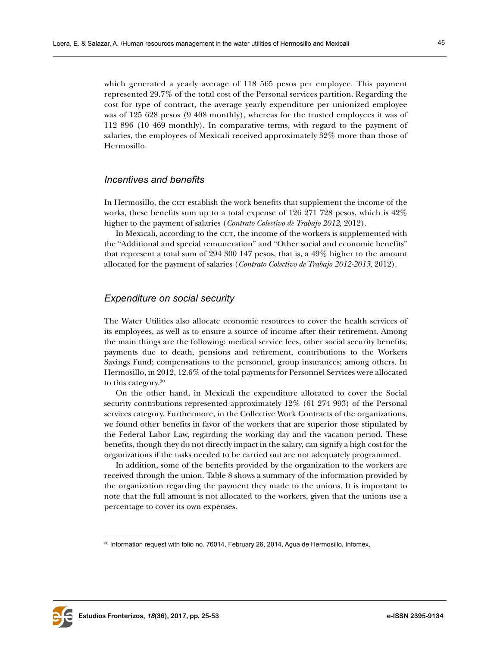which generated a yearly average of 118 565 pesos per employee. This payment represented 29.7% of the total cost of the Personal services partition. Regarding the cost for type of contract, the average yearly expenditure per unionized employee was of 125 628 pesos (9 408 monthly), whereas for the trusted employees it was of 112 896 (10 469 monthly). In comparative terms, with regard to the payment of salaries, the employees of Mexicali received approximately 32% more than those of Hermosillo.

#### *Incentives and benefits*

In Hermosillo, the cct establish the work benefits that supplement the income of the works, these benefits sum up to a total expense of 126 271 728 pesos, which is 42% higher to the payment of salaries (*Contrato Colectivo de Trabajo 2012,* 2012).

In Mexicali, according to the ccr, the income of the workers is supplemented with the "Additional and special remuneration" and "Other social and economic benefits" that represent a total sum of 294 300 147 pesos, that is, a 49% higher to the amount allocated for the payment of salaries (*Contrato Colectivo de Trabajo 2012-2013*, 2012).

## *Expenditure on social security*

The Water Utilities also allocate economic resources to cover the health services of its employees, as well as to ensure a source of income after their retirement. Among the main things are the following: medical service fees, other social security benefits; payments due to death, pensions and retirement, contributions to the Workers Savings Fund; compensations to the personnel, group insurances; among others. In Hermosillo, in 2012, 12.6% of the total payments for Personnel Services were allocated to this category.30

On the other hand, in Mexicali the expenditure allocated to cover the Social security contributions represented approximately 12% (61 274 993) of the Personal services category. Furthermore, in the Collective Work Contracts of the organizations, we found other benefits in favor of the workers that are superior those stipulated by the Federal Labor Law, regarding the working day and the vacation period. These benefits, though they do not directly impact in the salary, can signify a high cost for the organizations if the tasks needed to be carried out are not adequately programmed.

In addition, some of the benefits provided by the organization to the workers are received through the union. Table 8 shows a summary of the information provided by the organization regarding the payment they made to the unions. It is important to note that the full amount is not allocated to the workers, given that the unions use a percentage to cover its own expenses.



<sup>30</sup> Information request with folio no. 76014, February 26, 2014, Agua de Hermosillo, Infomex.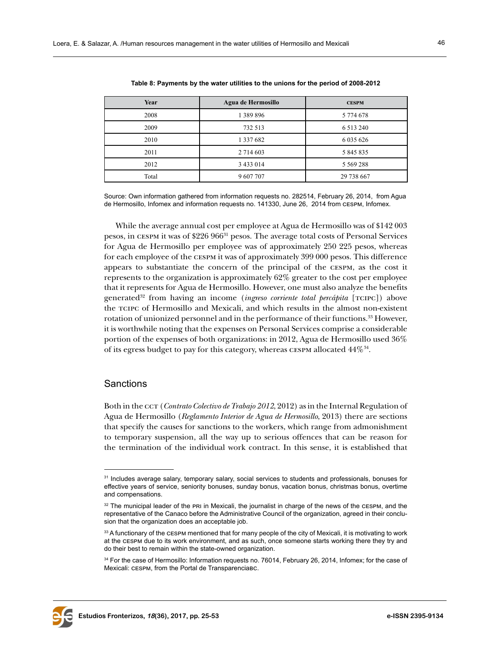| Year  | Agua de Hermosillo | <b>CESPM</b>  |
|-------|--------------------|---------------|
| 2008  | 1 389 896          | 5 774 678     |
| 2009  | 732 513            | 6 5 1 3 2 4 0 |
| 2010  | 1 337 682          | 6 0 35 6 26   |
| 2011  | 2 7 14 6 03        | 5 845 835     |
| 2012  | 3 4 3 3 0 1 4      | 5 5 6 9 2 8 8 |
| Total | 9 607 707          | 29 738 667    |

**Table 8: Payments by the water utilities to the unions for the period of 2008-2012**

Source: Own information gathered from information requests no. 282514, February 26, 2014, from Agua de Hermosillo, Infomex and information requests no. 141330, June 26, 2014 from cespm, Infomex.

While the average annual cost per employee at Agua de Hermosillo was of \$142 003 pesos, in cespm it was of \$226 96631 pesos. The average total costs of Personal Services for Agua de Hermosillo per employee was of approximately 250 225 pesos, whereas for each employee of the cespm it was of approximately 399 000 pesos. This difference appears to substantiate the concern of the principal of the cespm, as the cost it represents to the organization is approximately 62% greater to the cost per employee that it represents for Agua de Hermosillo. However, one must also analyze the benefits generated32 from having an income (*ingreso corriente total percápita* [tcipc]) above the tcipc of Hermosillo and Mexicali, and which results in the almost non-existent rotation of unionized personnel and in the performance of their functions.<sup>33</sup> However, it is worthwhile noting that the expenses on Personal Services comprise a considerable portion of the expenses of both organizations: in 2012, Agua de Hermosillo used 36% of its egress budget to pay for this category, whereas cespm allocated 44%34.

# **Sanctions**

Both in the cct (*Contrato Colectivo de Trabajo 2012*, 2012) as in the Internal Regulation of Agua de Hermosillo (*Reglamento Interior de Agua de Hermosillo*, 2013) there are sections that specify the causes for sanctions to the workers, which range from admonishment to temporary suspension, all the way up to serious offences that can be reason for the termination of the individual work contract. In this sense, it is established that



<sup>&</sup>lt;sup>31</sup> Includes average salary, temporary salary, social services to students and professionals, bonuses for effective years of service, seniority bonuses, sunday bonus, vacation bonus, christmas bonus, overtime and compensations.

<sup>&</sup>lt;sup>32</sup> The municipal leader of the PRI in Mexicali, the journalist in charge of the news of the CESPM, and the representative of the Canaco before the Administrative Council of the organization, agreed in their conclusion that the organization does an acceptable job.

<sup>33</sup> A functionary of the CESPM mentioned that for many people of the city of Mexicali, it is motivating to work at the cespm due to its work environment, and as such, once someone starts working there they try and do their best to remain within the state-owned organization.

<sup>34</sup> For the case of Hermosillo: Information requests no. 76014, February 26, 2014, Infomex; for the case of Mexicali: cespm, from the Portal de Transparenciabc.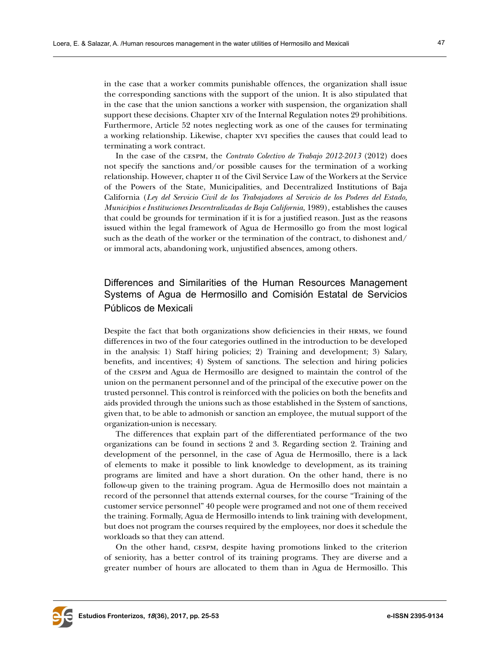in the case that a worker commits punishable offences, the organization shall issue the corresponding sanctions with the support of the union. It is also stipulated that in the case that the union sanctions a worker with suspension, the organization shall support these decisions. Chapter xiv of the Internal Regulation notes 29 prohibitions. Furthermore, Article 52 notes neglecting work as one of the causes for terminating a working relationship. Likewise, chapter xvi specifies the causes that could lead to terminating a work contract.

In the case of the cespm, the *Contrato Colectivo de Trabajo 2012-2013* (2012) does not specify the sanctions and/or possible causes for the termination of a working relationship. However, chapter ii of the Civil Service Law of the Workers at the Service of the Powers of the State, Municipalities, and Decentralized Institutions of Baja California (*Ley del Servicio Civil de los Trabajadores al Servicio de los Poderes del Estado, Municipios e Instituciones Descentralizadas de Baja California,* 1989), establishes the causes that could be grounds for termination if it is for a justified reason. Just as the reasons issued within the legal framework of Agua de Hermosillo go from the most logical such as the death of the worker or the termination of the contract, to dishonest and/ or immoral acts, abandoning work, unjustified absences, among others.

# Differences and Similarities of the Human Resources Management Systems of Agua de Hermosillo and Comisión Estatal de Servicios Públicos de Mexicali

Despite the fact that both organizations show deficiencies in their hrms, we found differences in two of the four categories outlined in the introduction to be developed in the analysis: 1) Staff hiring policies; 2) Training and development; 3) Salary, benefits, and incentives; 4) System of sanctions. The selection and hiring policies of the cespm and Agua de Hermosillo are designed to maintain the control of the union on the permanent personnel and of the principal of the executive power on the trusted personnel. This control is reinforced with the policies on both the benefits and aids provided through the unions such as those established in the System of sanctions, given that, to be able to admonish or sanction an employee, the mutual support of the organization-union is necessary.

The differences that explain part of the differentiated performance of the two organizations can be found in sections 2 and 3. Regarding section 2. Training and development of the personnel, in the case of Agua de Hermosillo, there is a lack of elements to make it possible to link knowledge to development, as its training programs are limited and have a short duration. On the other hand, there is no follow-up given to the training program. Agua de Hermosillo does not maintain a record of the personnel that attends external courses, for the course "Training of the customer service personnel" 40 people were programed and not one of them received the training. Formally, Agua de Hermosillo intends to link training with development, but does not program the courses required by the employees, nor does it schedule the workloads so that they can attend.

On the other hand, cespm, despite having promotions linked to the criterion of seniority, has a better control of its training programs. They are diverse and a greater number of hours are allocated to them than in Agua de Hermosillo. This

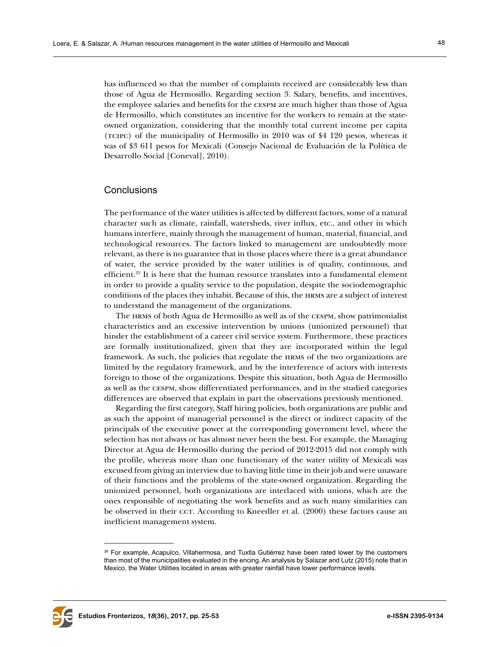has influenced so that the number of complaints received are considerably less than those of Agua de Hermosillo. Regarding section 3. Salary, benefits, and incentives, the employee salaries and benefits for the cespm are much higher than those of Agua de Hermosillo, which constitutes an incentive for the workers to remain at the stateowned organization, considering that the monthly total current income per capita (tcipc) of the municipality of Hermosillo in 2010 was of \$4 120 pesos, whereas it was of \$3 611 pesos for Mexicali (Consejo Nacional de Evaluación de la Política de Desarrollo Social [Coneval], 2010).

## **Conclusions**

The performance of the water utilities is affected by different factors, some of a natural character such as climate, rainfall, watersheds, river influx, etc., and other in which humans interfere, mainly through the management of human, material, financial, and technological resources. The factors linked to management are undoubtedly more relevant, as there is no guarantee that in those places where there is a great abundance of water, the service provided by the water utilities is of quality, continuous, and efficient.35 It is here that the human resource translates into a fundamental element in order to provide a quality service to the population, despite the sociodemographic conditions of the places they inhabit. Because of this, the hrms are a subject of interest to understand the management of the organizations.

The hrms of both Agua de Hermosillo as well as of the cespm, show patrimonialist characteristics and an excessive intervention by unions (unionized personnel) that hinder the establishment of a career civil service system. Furthermore, these practices are formally institutionalized, given that they are incorporated within the legal framework. As such, the policies that regulate the hrms of the two organizations are limited by the regulatory framework, and by the interference of actors with interests foreign to those of the organizations. Despite this situation, both Agua de Hermosillo as well as the cespm, show differentiated performances, and in the studied categories differences are observed that explain in part the observations previously mentioned.

Regarding the first category, Staff hiring policies, both organizations are public and as such the appoint of managerial personnel is the direct or indirect capacity of the principals of the executive power at the corresponding government level, where the selection has not always or has almost never been the best. For example, the Managing Director at Agua de Hermosillo during the period of 2012-2015 did not comply with the profile, whereas more than one functionary of the water utility of Mexicali was excused from giving an interview due to having little time in their job and were unaware of their functions and the problems of the state-owned organization. Regarding the unionized personnel, both organizations are interlaced with unions, which are the ones responsible of negotiating the work benefits and as such many similarities can be observed in their ccr. According to Kneedler et al. (2000) these factors cause an inefficient management system.



<sup>36</sup> For example, Acapulco, Villahermosa, and Tuxtla Gutiérrez have been rated lower by the customers than most of the municipalities evaluated in the encing. An analysis by Salazar and Lutz (2015) note that in Mexico, the Water Utilities located in areas with greater rainfall have lower performance levels.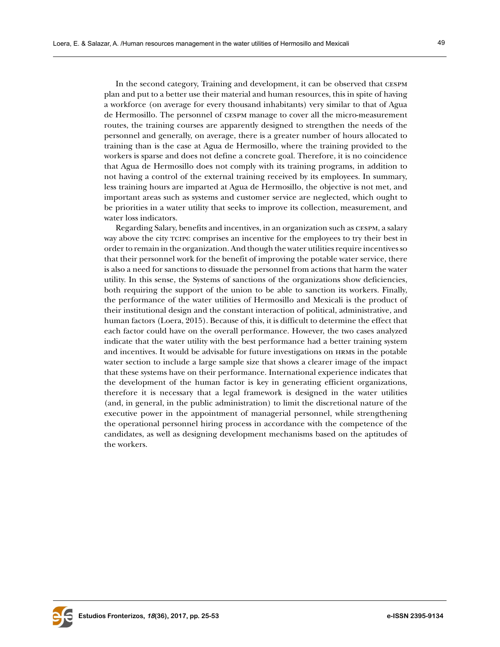In the second category, Training and development, it can be observed that cespm plan and put to a better use their material and human resources, this in spite of having a workforce (on average for every thousand inhabitants) very similar to that of Agua de Hermosillo. The personnel of cespm manage to cover all the micro-measurement routes, the training courses are apparently designed to strengthen the needs of the personnel and generally, on average, there is a greater number of hours allocated to training than is the case at Agua de Hermosillo, where the training provided to the workers is sparse and does not define a concrete goal. Therefore, it is no coincidence that Agua de Hermosillo does not comply with its training programs, in addition to not having a control of the external training received by its employees. In summary, less training hours are imparted at Agua de Hermosillo, the objective is not met, and important areas such as systems and customer service are neglected, which ought to be priorities in a water utility that seeks to improve its collection, measurement, and water loss indicators.

Regarding Salary, benefits and incentives, in an organization such as cespm, a salary way above the city tcipc comprises an incentive for the employees to try their best in order to remain in the organization. And though the water utilities require incentives so that their personnel work for the benefit of improving the potable water service, there is also a need for sanctions to dissuade the personnel from actions that harm the water utility. In this sense, the Systems of sanctions of the organizations show deficiencies, both requiring the support of the union to be able to sanction its workers. Finally, the performance of the water utilities of Hermosillo and Mexicali is the product of their institutional design and the constant interaction of political, administrative, and human factors (Loera, 2015). Because of this, it is difficult to determine the effect that each factor could have on the overall performance. However, the two cases analyzed indicate that the water utility with the best performance had a better training system and incentives. It would be advisable for future investigations on hrms in the potable water section to include a large sample size that shows a clearer image of the impact that these systems have on their performance. International experience indicates that the development of the human factor is key in generating efficient organizations, therefore it is necessary that a legal framework is designed in the water utilities (and, in general, in the public administration) to limit the discretional nature of the executive power in the appointment of managerial personnel, while strengthening the operational personnel hiring process in accordance with the competence of the candidates, as well as designing development mechanisms based on the aptitudes of the workers.

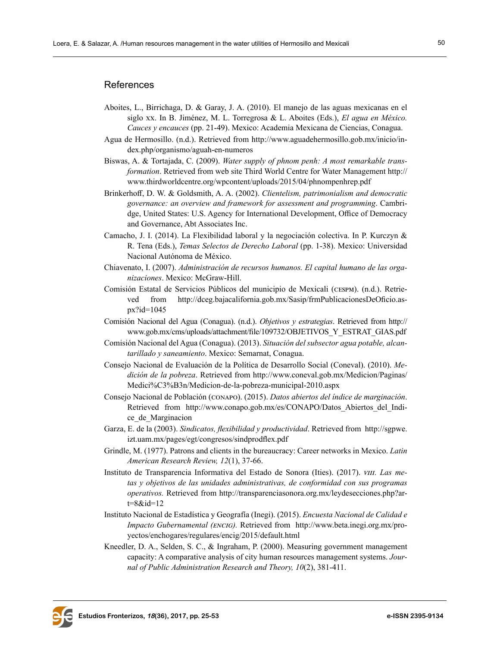#### **References**

- Aboites, L., Birrichaga, D. & Garay, J. A. (2010). El manejo de las aguas mexicanas en el siglo xx. In B. Jiménez, M. L. Torregrosa & L. Aboites (Eds.), *El agua en México. Cauces y encauces* (pp. 21-49). Mexico: Academia Mexicana de Ciencias, Conagua.
- Agua de Hermosillo. (n.d.). Retrieved from [http://www.aguadehermosillo.gob.mx/inicio/in](http://www.aguadehermosillo.gob.mx/inicio/index.php/organismo/aguah-en-numeros )[dex.php/organismo/aguah-en-numeros](http://www.aguadehermosillo.gob.mx/inicio/index.php/organismo/aguah-en-numeros )
- Biswas, A. & Tortajada, C. (2009). *Water supply of phnom penh: A most remarkable transformation*. Retrieved from web site Third World Centre for Water Management [http://](http://www.thirdworldcentre.org/wpcontent/uploads/2015/04/phnompenhrep.pdf  ) [www.thirdworldcentre.org/wpcontent/uploads/2015/04/phnompenhrep.pdf](http://www.thirdworldcentre.org/wpcontent/uploads/2015/04/phnompenhrep.pdf  )
- Brinkerhoff, D. W. & Goldsmith, A. A. (2002). *Clientelism, patrimonialism and democratic governance: an overview and framework for assessment and programming*. Cambridge, United States: U.S. Agency for International Development, Office of Democracy and Governance, Abt Associates Inc.
- Camacho, J. I. (2014). La Flexibilidad laboral y la negociación colectiva. In P. Kurczyn & R. Tena (Eds.), *Temas Selectos de Derecho Laboral* (pp. 1-38). Mexico: Universidad Nacional Autónoma de México.
- Chiavenato, I. (2007). *Administración de recursos humanos. El capital humano de las organizaciones*. Mexico: McGraw-Hill.
- Comisión Estatal de Servicios Públicos del municipio de Mexicali (cespm). (n.d.). Retrieved from [http://dceg.bajacalifornia.gob.mx/Sasip/frmPublicacionesDeOficio.as](http://dceg.bajacalifornia.gob.mx/Sasip/frmPublicacionesDeOficio.aspx?id=1045 )[px?id=1045](http://dceg.bajacalifornia.gob.mx/Sasip/frmPublicacionesDeOficio.aspx?id=1045 )
- Comisión Nacional del Agua (Conagua). (n.d.). *Objetivos y estrategias*. Retrieved from [http://](http://www.gob.mx/cms/uploads/attachment/file/109732/OBJETIVOS_Y_ESTRAT_GIAS.pdf ) [www.gob.mx/cms/uploads/attachment/file/109732/OBJETIVOS\\_Y\\_ESTRAT\\_GIAS.pdf](http://www.gob.mx/cms/uploads/attachment/file/109732/OBJETIVOS_Y_ESTRAT_GIAS.pdf )
- Comisión Nacional del Agua (Conagua). (2013). *Situación del subsector agua potable, alcantarillado y saneamiento*. Mexico: Semarnat, Conagua.
- Consejo Nacional de Evaluación de la Política de Desarrollo Social (Coneval). (2010). *Medición de la pobreza*. Retrieved from [http://www.coneval.gob.mx/Medicion/Paginas/](http://www.coneval.gob.mx/Medicion/Paginas/Medici%C3%B3n/Medicion-de-la-pobreza-municipal-2010.aspx ) [Medici%C3%B3n/Medicion-de-la-pobreza-municipal-2010.aspx](http://www.coneval.gob.mx/Medicion/Paginas/Medici%C3%B3n/Medicion-de-la-pobreza-municipal-2010.aspx )
- Consejo Nacional de Población (conapo). (2015). *Datos abiertos del índice de marginación*. Retrieved from [http://www.conapo.gob.mx/es/CONAPO/Datos\\_Abiertos\\_del\\_Indi](http://www.conapo.gob.mx/es/CONAPO/Datos_Abiertos_del_Indice_de_Marginacion )[ce\\_de\\_Marginacion](http://www.conapo.gob.mx/es/CONAPO/Datos_Abiertos_del_Indice_de_Marginacion )
- Garza, E. de la (2003). *Sindicatos, flexibilidad y productividad*. Retrieved from [http://sgpwe.](http://sgpwe.izt.uam.mx/pages/egt/congresos/sindprodflex.pdf ) [izt.uam.mx/pages/egt/congresos/sindprodflex.pdf](http://sgpwe.izt.uam.mx/pages/egt/congresos/sindprodflex.pdf )
- Grindle, M. (1977). Patrons and clients in the bureaucracy: Career networks in Mexico. *Latin American Research Review, 12*(1), 37-66.
- Instituto de Transparencia Informativa del Estado de Sonora (Ities). (2017). *viii. Las metas y objetivos de las unidades administrativas, de conformidad con sus programas operativos.* Retrieved from [http://transparenciasonora.org.mx/leydesecciones.php?ar](http://transparenciasonora.org.mx/leydesecciones.php?art=8&id=12 )[t=8&id=12](http://transparenciasonora.org.mx/leydesecciones.php?art=8&id=12 )
- Instituto Nacional de Estadística y Geografía (Inegi). (2015). *Encuesta Nacional de Calidad e Impacto Gubernamental (encig).* Retrieved from [http://www.beta.inegi.org.mx/pro](http://www.beta.inegi.org.mx/proyectos/enchogares/regulares/encig/2015/default.html )[yectos/enchogares/regulares/encig/2015/default.html](http://www.beta.inegi.org.mx/proyectos/enchogares/regulares/encig/2015/default.html )
- Kneedler, D. A., Selden, S. C., & Ingraham, P. (2000). Measuring government management capacity: A comparative analysis of city human resources management systems. *Journal of Public Administration Research and Theory, 10*(2), 381-411.

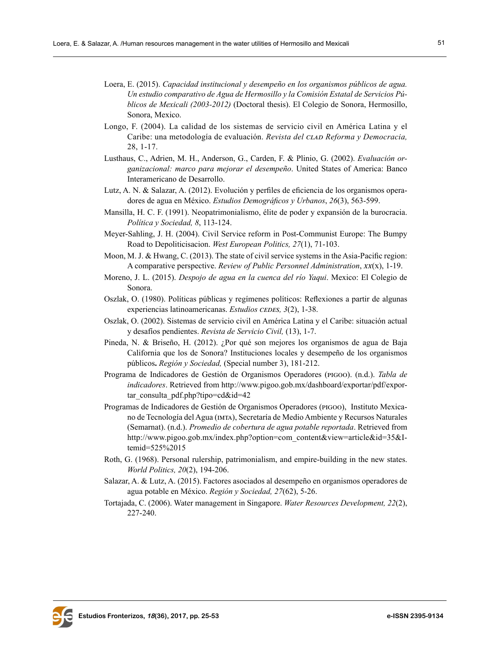- Loera, E. (2015). *Capacidad institucional y desempeño en los organismos públicos de agua. Un estudio comparativo de Agua de Hermosillo y la Comisión Estatal de Servicios Públicos de Mexicali (2003-2012)* (Doctoral thesis). El Colegio de Sonora, Hermosillo, Sonora, Mexico.
- Longo, F. (2004). La calidad de los sistemas de servicio civil en América Latina y el Caribe: una metodología de evaluación. *Revista del clad Reforma y Democracia,* 28, 1-17.
- Lusthaus, C., Adrien, M. H., Anderson, G., Carden, F. & Plinio, G. (2002). *Evaluación organizacional: marco para mejorar el desempeño*. United States of America: Banco Interamericano de Desarrollo.
- Lutz, A. N. & Salazar, A. (2012). Evolución y perfiles de eficiencia de los organismos operadores de agua en México. *Estudios Demográficos y Urbanos*, *26*(3), 563-599.
- Mansilla, H. C. F. (1991). Neopatrimonialismo, élite de poder y expansión de la burocracia. *Política y Sociedad, 8*, 113-124.
- Meyer-Sahling, J. H. (2004). Civil Service reform in Post-Communist Europe: The Bumpy Road to Depoliticisacion. *West European Politics, 27*(1), 71-103.
- Moon, M. J. & Hwang, C. (2013). The state of civil service systems in the Asia-Pacific region: A comparative perspective. *Review of Public Personnel Administration*, *xx*(x), 1-19.
- Moreno, J. L. (2015). *Despojo de agua en la cuenca del río Yaqui*. Mexico: El Colegio de Sonora.
- Oszlak, O. (1980). Políticas públicas y regímenes políticos: Reflexiones a partir de algunas experiencias latinoamericanas. *Estudios CEDES*, 3(2), 1-38.
- Oszlak, O. (2002). Sistemas de servicio civil en América Latina y el Caribe: situación actual y desafíos pendientes. *Revista de Servicio Civil,* (13), 1-7.
- Pineda, N. & Briseño, H. (2012). ¿Por qué son mejores los organismos de agua de Baja California que los de Sonora? Instituciones locales y desempeño de los organismos públicos**.** *Región y Sociedad,* (Special number 3), 181-212.
- Programa de Indicadores de Gestión de Organismos Operadores (pigoo). (n.d.). *Tabla de indicadores*. Retrieved from [http://www.pigoo.gob.mx/dashboard/exportar/pdf/expor](http://www.pigoo.gob.mx/dashboard/exportar/pdf/exportar_consulta_pdf.php?tipo=cd&id=42  )[tar\\_consulta\\_pdf.php?tipo=cd&id=42](http://www.pigoo.gob.mx/dashboard/exportar/pdf/exportar_consulta_pdf.php?tipo=cd&id=42  )
- Programas de Indicadores de Gestión de Organismos Operadores (pigoo), Instituto Mexicano de Tecnología del Agua (imta), Secretaría de Medio Ambiente y Recursos Naturales (Semarnat). (n.d.). *Promedio de cobertura de agua potable reportada*. Retrieved from [http://www.pigoo.gob.mx/index.php?option=com\\_content&view=article&id=35&I](http://www.pigoo.gob.mx/index.php?option=com_content&view=article&id=35&Itemid=525%2015 )[temid=525%2015](http://www.pigoo.gob.mx/index.php?option=com_content&view=article&id=35&Itemid=525%2015 )
- Roth, G. (1968). Personal rulership, patrimonialism, and empire-building in the new states. *World Politics, 20*(2), 194-206.
- Salazar, A. & Lutz, A. (2015). Factores asociados al desempeño en organismos operadores de agua potable en México. *Región y Sociedad, 27*(62), 5-26.
- Tortajada, C. (2006). Water management in Singapore. *Water Resources Development, 22*(2), 227-240.

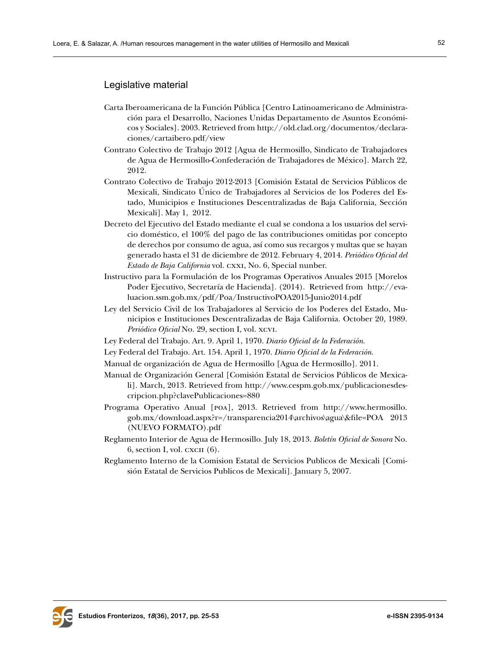# Legislative material

- Carta Iberoamericana de la Función Pública [Centro Latinoamericano de Administración para el Desarrollo, Naciones Unidas Departamento de Asuntos Económicos y Sociales]. 2003. Retrieved from [http://old.clad.org/documentos/declara](http://old.clad.org/documentos/declaraciones/cartaibero.pdf/view   )[ciones/cartaibero.pdf/view](http://old.clad.org/documentos/declaraciones/cartaibero.pdf/view   )
- Contrato Colectivo de Trabajo 2012 [Agua de Hermosillo, Sindicato de Trabajadores de Agua de Hermosillo-Confederación de Trabajadores de México]. March 22, 2012.
- Contrato Colectivo de Trabajo 2012-2013 [Comisión Estatal de Servicios Públicos de Mexicali, Sindicato Único de Trabajadores al Servicios de los Poderes del Estado, Municipios e Instituciones Descentralizadas de Baja California, Sección Mexicali]. May 1, 2012.
- Decreto del Ejecutivo del Estado mediante el cual se condona a los usuarios del servicio doméstico, el 100% del pago de las contribuciones omitidas por concepto de derechos por consumo de agua, así como sus recargos y multas que se hayan generado hasta el 31 de diciembre de 2012. February 4, 2014. *Periódico Oficial del Estado de Baja California* vol. cxxi, No. 6, Special nunber.
- Instructivo para la Formulación de los Programas Operativos Anuales 2015 [Morelos Poder Ejecutivo, Secretaría de Hacienda]. (2014). Retrieved from [http://eva](http://evaluacion.ssm.gob.mx/pdf/Poa/InstructivoPOA2015-Junio2014.pdf  )[luacion.ssm.gob.mx/pdf/Poa/InstructivoPOA2015-Junio2014.pdf](http://evaluacion.ssm.gob.mx/pdf/Poa/InstructivoPOA2015-Junio2014.pdf  )
- Ley del Servicio Civil de los Trabajadores al Servicio de los Poderes del Estado, Municipios e Instituciones Descentralizadas de Baja California. October 20, 1989. *Periódico Oficial* No. 29, section I, vol. xcvi.
- Ley Federal del Trabajo. Art. 9. April 1, 1970. *Diario Oficial de la Federación*.
- Ley Federal del Trabajo. Art. 154. April 1, 1970. *Diario Oficial de la Federación*.
- Manual de organización de Agua de Hermosillo [Agua de Hermosillo]. 2011.
- Manual de Organización General [Comisión Estatal de Servicios Públicos de Mexicali]. March, 2013*.* Retrieved from [http://www.cespm.gob.mx/publicacionesdes](http://www.cespm.gob.mx/publicacionesdescripcion.php?clavePublicaciones=880 )[cripcion.php?clavePublicaciones=880](http://www.cespm.gob.mx/publicacionesdescripcion.php?clavePublicaciones=880 )
- Programa Operativo Anual [poa], 2013. Retrieved from [http://www.hermosillo.](http://www.hermosillo.gob.mx/download.aspx?r=/transparencia2014\archivos\agua\&file=POA 2013 (NUEVO FORMATO).pdf ) [gob.mx/download.aspx?r=/transparencia2014\archivos\agua\&file=POA 2013](http://www.hermosillo.gob.mx/download.aspx?r=/transparencia2014\archivos\agua\&file=POA 2013 (NUEVO FORMATO).pdf )  [\(NUEVO FORMATO\).pdf](http://www.hermosillo.gob.mx/download.aspx?r=/transparencia2014\archivos\agua\&file=POA 2013 (NUEVO FORMATO).pdf )
- Reglamento Interior de Agua de Hermosillo. July 18, 2013. *Boletín Oficial de Sonora* No.  $6$ , section I, vol. cxc $\pi$   $(6)$ .
- Reglamento Interno de la Comision Estatal de Servicios Publicos de Mexicali [Comisión Estatal de Servicios Publicos de Mexicali]. January 5, 2007.